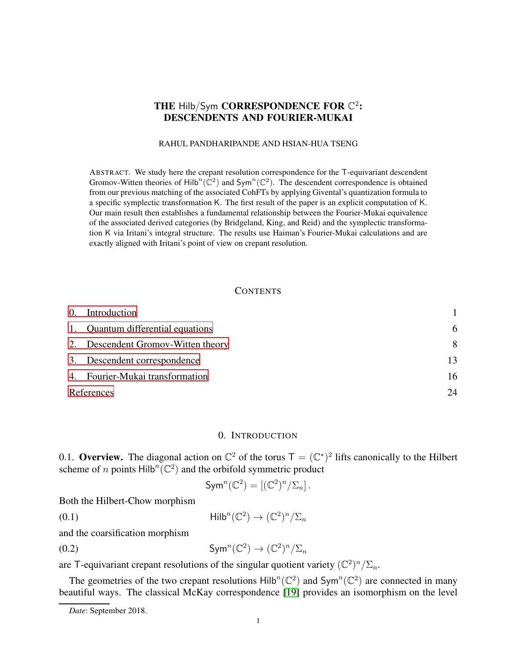# THE Hilb/Sym CORRESPONDENCE FOR  $\mathbb{C}^2$ : DESCENDENTS AND FOURIER-MUKAI

### RAHUL PANDHARIPANDE AND HSIAN-HUA TSENG

ABSTRACT. We study here the crepant resolution correspondence for the T-equivariant descendent Gromov-Witten theories of Hilb<sup>n</sup>( $\mathbb{C}^2$ ) and Sym<sup>n</sup>( $\mathbb{C}^2$ ). The descendent correspondence is obtained from our previous matching of the associated CohFTs by applying Givental's quantization formula to a specific symplectic transformation K. The first result of the paper is an explicit computation of K. Our main result then establishes a fundamental relationship between the Fourier-Mukai equivalence of the associated derived categories (by Bridgeland, King, and Reid) and the symplectic transformation K via Iritani's integral structure. The results use Haiman's Fourier-Mukai calculations and are exactly aligned with Iritani's point of view on crepant resolution.

### <span id="page-0-1"></span>**CONTENTS**

|            | 0. Introduction                    |    |
|------------|------------------------------------|----|
|            | 1. Quantum differential equations  | 6  |
|            | 2. Descendent Gromov-Witten theory | 8  |
|            | 3. Descendent correspondence       | 13 |
|            | 4. Fourier-Mukai transformation    | 16 |
| References |                                    | 24 |

### 0. INTRODUCTION

<span id="page-0-0"></span>0.1. Overview. The diagonal action on  $\mathbb{C}^2$  of the torus  $\mathsf{T} = (\mathbb{C}^*)^2$  lifts canonically to the Hilbert scheme of *n* points  $Hilb^{n}(C^{2})$  and the orbifold symmetric product

$$
\operatorname{Sym}^n(\mathbb{C}^2) = [(\mathbb{C}^2)^n/\Sigma_n].
$$

Both the Hilbert-Chow morphism

(0.1) Hilb<sup>n</sup>( $\mathbb{C}^2$ )  $\rightarrow$   $(\mathbb{C}^2)^n/\Sigma_n$ 

and the coarsification morphism

(0.2) 
$$
\text{Sym}^n(\mathbb{C}^2) \to (\mathbb{C}^2)^n/\Sigma_n
$$

are T-equivariant crepant resolutions of the singular quotient variety  $(\mathbb{C}^2)^n/\Sigma_n$ .

The geometries of the two crepant resolutions  $\text{Hilb}^n(\mathbb{C}^2)$  and  $\text{Sym}^n(\mathbb{C}^2)$  are connected in many beautiful ways. The classical McKay correspondence [\[19\]](#page-24-0) provides an isomorphism on the level

*Date*: September 2018.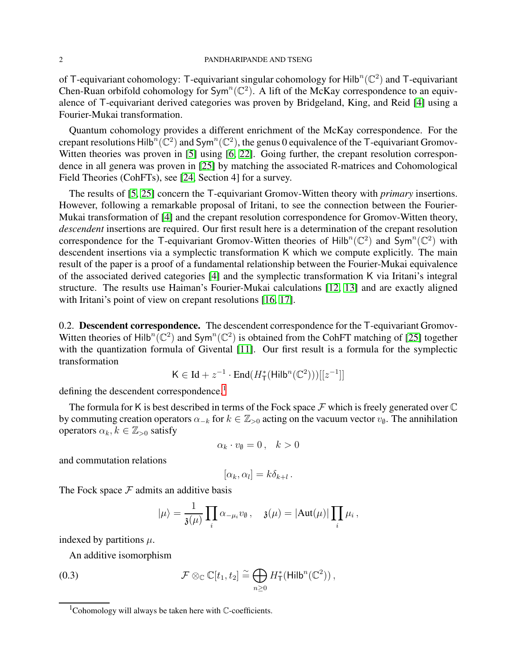#### 2 PANDHARIPANDE AND TSENG

of T-equivariant cohomology: T-equivariant singular cohomology for Hilb<sup>n</sup>( $\mathbb{C}^2$ ) and T-equivariant Chen-Ruan orbifold cohomology for  $Sym^n(\mathbb{C}^2)$ . A lift of the McKay correspondence to an equivalence of T-equivariant derived categories was proven by Bridgeland, King, and Reid [\[4\]](#page-23-0) using a Fourier-Mukai transformation.

Quantum cohomology provides a different enrichment of the McKay correspondence. For the crepant resolutions Hilb<sup>n</sup>( $\mathbb{C}^2$ ) and Sym<sup>n</sup>( $\mathbb{C}^2$ ), the genus 0 equivalence of the T-equivariant Gromov-Witten theories was proven in [\[5\]](#page-24-1) using [\[6,](#page-24-2) [22\]](#page-24-3). Going further, the crepant resolution correspondence in all genera was proven in [\[25\]](#page-24-4) by matching the associated R-matrices and Cohomological Field Theories (CohFTs), see [\[24,](#page-24-5) Section 4] for a survey.

The results of [\[5,](#page-24-1) [25\]](#page-24-4) concern the T-equivariant Gromov-Witten theory with *primary* insertions. However, following a remarkable proposal of Iritani, to see the connection between the Fourier-Mukai transformation of [\[4\]](#page-23-0) and the crepant resolution correspondence for Gromov-Witten theory, *descendent* insertions are required. Our first result here is a determination of the crepant resolution correspondence for the T-equivariant Gromov-Witten theories of Hilb<sup>n</sup>( $\mathbb{C}^2$ ) and Sym<sup>n</sup>( $\mathbb{C}^2$ ) with descendent insertions via a symplectic transformation K which we compute explicitly. The main result of the paper is a proof of a fundamental relationship between the Fourier-Mukai equivalence of the associated derived categories [\[4\]](#page-23-0) and the symplectic transformation K via Iritani's integral structure. The results use Haiman's Fourier-Mukai calculations [\[12,](#page-24-6) [13\]](#page-24-7) and are exactly aligned with Iritani's point of view on crepant resolutions [\[16,](#page-24-8) [17\]](#page-24-9).

0.2. **Descendent correspondence.** The descendent correspondence for the T-equivariant Gromov-Witten theories of Hilb<sup>n</sup>( $\mathbb{C}^2$ ) and Sym<sup>n</sup>( $\mathbb{C}^2$ ) is obtained from the CohFT matching of [\[25\]](#page-24-4) together with the quantization formula of Givental [\[11\]](#page-24-10). Our first result is a formula for the symplectic transformation

$$
\mathsf{K} \in \mathrm{Id} + z^{-1} \cdot \mathrm{End}(H^*_{\mathsf{T}}(\mathsf{Hilb}^n(\mathbb{C}^2)))[[z^{-1}]]
$$

defining the descendent correspondence.<sup>[1](#page-1-0)</sup>

The formula for K is best described in terms of the Fock space  $\mathcal F$  which is freely generated over  $\mathbb C$ by commuting creation operators  $\alpha_{-k}$  for  $k \in \mathbb{Z}_{>0}$  acting on the vacuum vector  $v_{\emptyset}$ . The annihilation operators  $\alpha_k, k \in \mathbb{Z}_{>0}$  satisfy

$$
\alpha_k \cdot v_{\emptyset} = 0 \,, \quad k > 0
$$

and commutation relations

$$
[\alpha_k, \alpha_l] = k \delta_{k+l} .
$$

The Fock space  $F$  admits an additive basis

<span id="page-1-1"></span>
$$
|\mu\rangle = \frac{1}{\mathfrak{z}(\mu)} \prod_i \alpha_{-\mu_i} v_{\emptyset} , \quad \mathfrak{z}(\mu) = |\mathrm{Aut}(\mu)| \prod_i \mu_i ,
$$

indexed by partitions  $\mu$ .

An additive isomorphism

(0.3) 
$$
\mathcal{F} \otimes_{\mathbb{C}} \mathbb{C}[t_1, t_2] \cong \bigoplus_{n \geq 0} H_{\mathsf{T}}^*(\mathsf{Hilb}^n(\mathbb{C}^2)),
$$

<span id="page-1-0"></span><sup>&</sup>lt;sup>1</sup>Cohomology will always be taken here with  $\mathbb{C}$ -coefficients.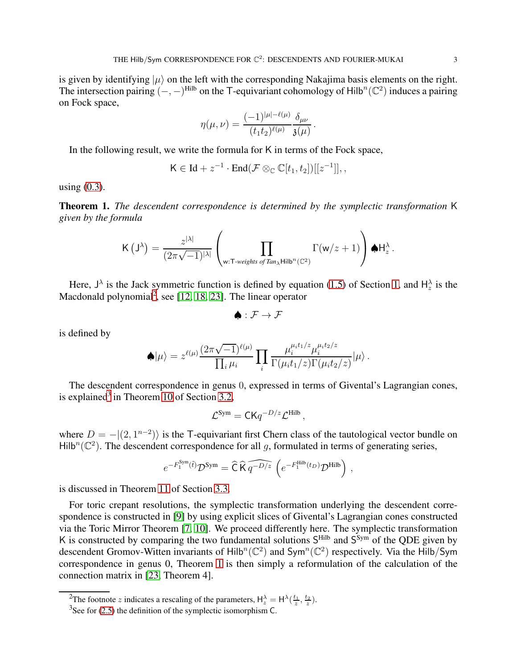is given by identifying  $|\mu\rangle$  on the left with the corresponding Nakajima basis elements on the right. The intersection pairing  $(-,-)$ <sup>Hilb</sup> on the T-equivariant cohomology of Hilb<sup>n</sup>( $\mathbb{C}^2$ ) induces a pairing on Fock space,

$$
\eta(\mu,\nu)=\frac{(-1)^{|\mu|-\ell(\mu)}}{(t_1t_2)^{\ell(\mu)}}\frac{\delta_{\mu\nu}}{\mathfrak{z}(\mu)}\,.
$$

In the following result, we write the formula for K in terms of the Fock space,

$$
\mathsf{K}\in \mathrm{Id}+z^{-1}\cdot \mathrm{End}(\mathcal{F}\otimes_{\mathbb{C}}\mathbb{C}[t_1,t_2])[[z^{-1}]],,
$$

using  $(0.3)$ .

<span id="page-2-2"></span>Theorem 1. *The descendent correspondence is determined by the symplectic transformation* K *given by the formula*

$$
\mathsf{K}\left(\mathsf{J}^\lambda\right) = \frac{z^{|\lambda|}}{(2\pi\sqrt{-1})^{|\lambda|}}\left(\prod_{\mathsf{w}:\mathsf{T}\textrm{-weights of } \mathit{Tan}_\lambda \textrm{Hilb}^n(\mathbb{C}^2)}\Gamma(\mathsf{w}/z+1)\right) \spadesuit \mathsf{H}^\lambda_z\,.
$$

Here,  $J^{\lambda}$  is the Jack symmetric function is defined by equation [\(1.5\)](#page-6-0) of Section [1,](#page-5-0) and  $H^{\lambda}_{z}$  is the Macdonald polynomial<sup>[2](#page-2-0)</sup>, see [\[12,](#page-24-6) [18,](#page-24-11) [23\]](#page-24-12). The linear operator

 $\blacktriangle$  :  $\mathcal{F} \rightarrow \mathcal{F}$ 

is defined by

$$
\spadesuit|\mu\rangle=z^{\ell(\mu)}\frac{(2\pi\sqrt{-1})^{\ell(\mu)}}{\prod_i\mu_i}\prod_i\frac{\mu_i^{\mu_i t_1/z}\mu_i^{\mu_i t_2/z}}{\Gamma(\mu_i t_1/z)\Gamma(\mu_i t_2/z)}|\mu\rangle\,.
$$

The descendent correspondence in genus 0, expressed in terms of Givental's Lagrangian cones, is explained<sup>[3](#page-2-1)</sup> in Theorem [10](#page-13-0) of Section [3.2,](#page-13-1)

$$
\mathcal{L}^{\text{Sym}} = \mathsf{CK}q^{-D/z}\mathcal{L}^{\text{Hilb}},
$$

where  $D = -|(2, 1^{n-2})\rangle$  is the T-equivariant first Chern class of the tautological vector bundle on Hilb<sup>n</sup>( $\mathbb{C}^2$ ). The descendent correspondence for all g, formulated in terms of generating series,

$$
e^{-F_1^{\text{Sym}}(\tilde{t})}\mathcal{D}^{\text{Sym}} = \widehat{\mathsf{C}}\,\widehat{\mathsf{K}}\,\widehat{q^{-D/z}}\,\left(e^{-F_1^{\text{Hilb}}(t_D)}\mathcal{D}^{\text{Hilb}}\right)\,,
$$

is discussed in Theorem [11](#page-14-0) of Section [3.3.](#page-14-1)

For toric crepant resolutions, the symplectic transformation underlying the descendent correspondence is constructed in [\[9\]](#page-24-13) by using explicit slices of Givental's Lagrangian cones constructed via the Toric Mirror Theorem [\[7,](#page-24-14) [10\]](#page-24-15). We proceed differently here. The symplectic transformation K is constructed by comparing the two fundamental solutions  $S<sup>Hilb</sup>$  and  $S<sup>Sym</sup>$  of the QDE given by descendent Gromov-Witten invariants of Hilb<sup>n</sup>( $\mathbb{C}^2$ ) and Sym<sup>n</sup>( $\mathbb{C}^2$ ) respectively. Via the Hilb/Sym correspondence in genus 0, Theorem [1](#page-2-2) is then simply a reformulation of the calculation of the connection matrix in [\[23,](#page-24-12) Theorem 4].

<sup>&</sup>lt;sup>2</sup>The footnote z indicates a rescaling of the parameters,  $H_z^{\lambda} = H^{\lambda}(\frac{t_1}{z}, \frac{t_2}{z}).$ 

<span id="page-2-1"></span><span id="page-2-0"></span> $3$ See for [\(2.5\)](#page-9-0) the definition of the symplectic isomorphism C.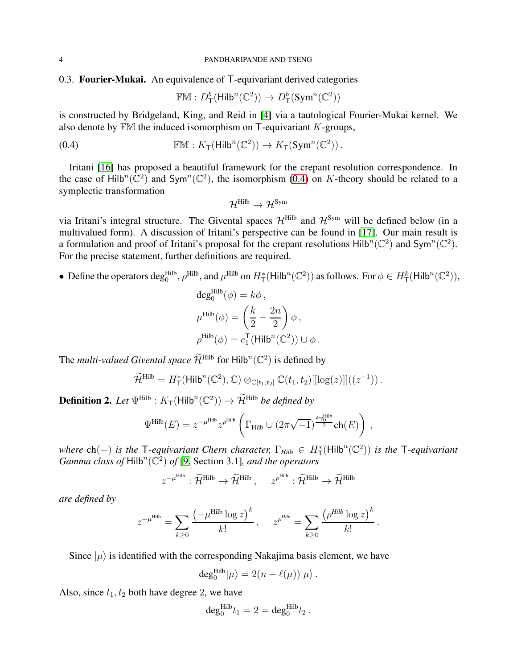# 0.3. Fourier-Mukai. An equivalence of T-equivariant derived categories

<span id="page-3-0"></span>
$$
\mathbb{F}\mathbb{M}: D^b_\mathsf{T}(\mathsf{Hilb}^n(\mathbb{C}^2)) \to D^b_\mathsf{T}(\mathsf{Sym}^n(\mathbb{C}^2))
$$

is constructed by Bridgeland, King, and Reid in [\[4\]](#page-23-0) via a tautological Fourier-Mukai kernel. We also denote by  $\mathbb{F}M$  the induced isomorphism on T-equivariant K-groups,

(0.4) 
$$
\mathbb{F}\mathbb{M}: K_{\mathsf{T}}(\mathsf{Hilb}^n(\mathbb{C}^2)) \to K_{\mathsf{T}}(\mathsf{Sym}^n(\mathbb{C}^2)).
$$

Iritani [\[16\]](#page-24-8) has proposed a beautiful framework for the crepant resolution correspondence. In the case of Hilb<sup>n</sup>( $\mathbb{C}^2$ ) and Sym<sup>n</sup>( $\mathbb{C}^2$ ), the isomorphism [\(0.4\)](#page-3-0) on K-theory should be related to a symplectic transformation

$$
\mathcal{H}^{Hilb} \to \mathcal{H}^{Sym}
$$

via Iritani's integral structure. The Givental spaces  $\mathcal{H}^{\text{Hilb}}$  and  $\mathcal{H}^{\text{Sym}}$  will be defined below (in a multivalued form). A discussion of Iritani's perspective can be found in [\[17\]](#page-24-9). Our main result is a formulation and proof of Iritani's proposal for the crepant resolutions  $\text{Hilb}^n(\mathbb{C}^2)$  and  $\text{Sym}^n(\mathbb{C}^2)$ . For the precise statement, further definitions are required.

• Define the operators deg<sup>Hilb</sup>,  $\rho^{\text{Hilb}}$ , and  $\mu^{\text{Hilb}}$  on  $H^*_{\mathsf{T}}(\mathsf{Hilb}^n(\mathbb{C}^2))$  as follows. For  $\phi \in H^k_{\mathsf{T}}(\mathsf{Hilb}^n(\mathbb{C}^2))$ ,

$$
deg_0^{\text{Hilb}}(\phi) = k\phi,
$$
  
\n
$$
\mu^{\text{Hilb}}(\phi) = \left(\frac{k}{2} - \frac{2n}{2}\right)\phi,
$$
  
\n
$$
\rho^{\text{Hilb}}(\phi) = c_1^{\text{T}}(\text{Hilb}^n(\mathbb{C}^2)) \cup \phi.
$$

The *multi-valued Givental space*  $\widetilde{\mathcal{H}}^{\text{Hilb}}$  for  $\text{Hilb}^n(\mathbb{C}^2)$  is defined by

$$
\widetilde{\mathcal{H}}^{\text{Hilb}} = H^*_{\mathsf{T}}(\mathsf{Hilb}^n(\mathbb{C}^2), \mathbb{C}) \otimes_{\mathbb{C}[t_1, t_2]} \mathbb{C}(t_1, t_2)[[\log(z)]]((z^{-1})).
$$

**Definition 2.** Let  $\Psi^{\text{Hilb}}: K_{\mathsf{T}}(\text{Hilb}^n(\mathbb{C}^2)) \to \widetilde{\mathcal{H}}^{\text{Hilb}}$  be defined by

$$
\Psi^{\rm Hilb}(E) = z^{-\mu^{\rm Hilb}} z^{\rho^{\rm Hilb}} \left( \Gamma_{\rm Hilb} \cup (2\pi \sqrt{-1})^{\frac{\deg^{\rm Hilb}_0}{2}} \text{ch}(E) \right) \,,
$$

 $w$ *here* ch(-) *is the*  $\top$ *-equivariant Chern character,*  $\Gamma_{Hilb} \in H^*_{\top}(\text{Hilb}^n(\mathbb{C}^2))$  *is the*  $\top$ *-equivariant*  $Gamma$  *class of*  $Hilb<sup>n</sup>(\mathbb{C}^2)$  *of* [\[9,](#page-24-13) Section 3.1]*, and the operators* 

$$
z^{-\mu^{\text{Hilb}}} : \widetilde{\mathcal{H}}^{\text{Hilb}} \to \widetilde{\mathcal{H}}^{\text{Hilb}} , \quad z^{\rho^{\text{Hilb}}} : \widetilde{\mathcal{H}}^{\text{Hilb}} \to \widetilde{\mathcal{H}}^{\text{Hilb}}
$$

*are defined by*

$$
z^{-\mu^{\text{Hilb}}} = \sum_{k\geq 0} \frac{\left(-\mu^{\text{Hilb}} \log z\right)^k}{k!}, \quad z^{\rho^{\text{Hilb}}} = \sum_{k\geq 0} \frac{\left(\rho^{\text{Hilb}} \log z\right)^k}{k!}.
$$

Since  $|\mu\rangle$  is identified with the corresponding Nakajima basis element, we have

$$
\deg_0^{\text{Hilb}}|\mu\rangle = 2(n - \ell(\mu))|\mu\rangle.
$$

Also, since  $t_1, t_2$  both have degree 2, we have

$$
\deg_0^{\mathrm{Hilb}} t_1 = 2 = \deg_0^{\mathrm{Hilb}} t_2.
$$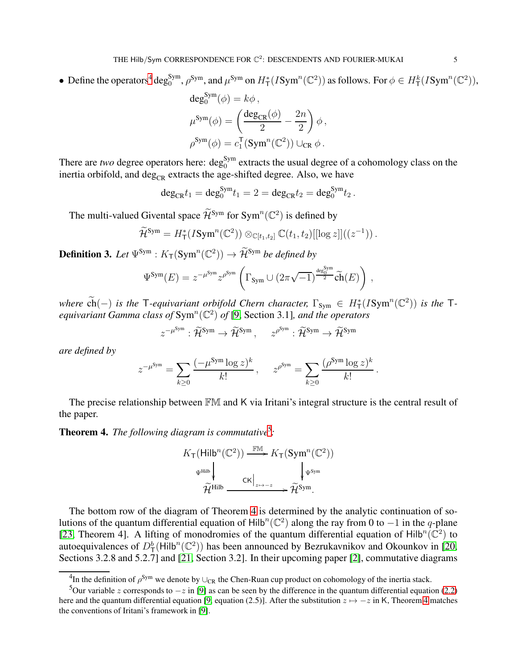• Define the operators<sup>[4](#page-4-0)</sup> deg<sup>Sym</sup>,  $\rho^{Sym}$ , and  $\mu^{Sym}$  on  $H^*_{\mathsf{T}}(I\text{Sym}^n(\mathbb{C}^2))$  as follows. For  $\phi \in H^k_{\mathsf{T}}(I\text{Sym}^n(\mathbb{C}^2))$ ,

$$
deg_0^{Sym}(\phi) = k\phi,
$$
  
\n
$$
\mu^{Sym}(\phi) = \left(\frac{deg_{CR}(\phi)}{2} - \frac{2n}{2}\right)\phi,
$$
  
\n
$$
\rho^{Sym}(\phi) = c_1^{T}(Sym^n(\mathbb{C}^2)) \cup_{CR} \phi.
$$

There are *two* degree operators here:  $\deg_0^{\text{Sym}}$  extracts the usual degree of a cohomology class on the inertia orbifold, and  $\deg_{CR}$  extracts the age-shifted degree. Also, we have

$$
\deg_{\mathrm{CR}} t_1 = \deg_0^{\mathrm{Sym}} t_1 = 2 = \deg_{\mathrm{CR}} t_2 = \deg_0^{\mathrm{Sym}} t_2.
$$

The multi-valued Givental space  $\widetilde{\mathcal{H}}^{\text{Sym}}$  for  $\text{Sym}^n(\mathbb{C}^2)$  is defined by

$$
\widetilde{\mathcal{H}}^{\text{Sym}}=H_{\mathsf{T}}^*(I\text{Sym}^n(\mathbb{C}^2))\otimes_{\mathbb{C}[t_1,t_2]}\mathbb{C}(t_1,t_2)[[\log z]]((z^{-1}))\,.
$$

**Definition 3.** Let  $\Psi^{Sym}$  :  $K_T(Sym^n(\mathbb{C}^2)) \to \widetilde{\mathcal{H}}^{Sym}$  be defined by

$$
\Psi^{\text{Sym}}(E) = z^{-\mu^{\text{Sym}}} z^{\rho^{\text{Sym}}} \left( \Gamma_{\text{Sym}} \cup (2\pi\sqrt{-1})^{\frac{\text{deg}_{0}^{\text{Sym}}}{2}} \widetilde{\text{ch}}(E) \right) ,
$$

 $\widetilde{\text{ch}}(-)$  *is the* T-equivariant orbifold Chern character,  $\Gamma_{\text{Sym}} \in H^*_{\mathsf{T}}(I\text{Sym}^n(\mathbb{C}^2))$  *is the* Tequivariant Gamma class of  $\text{Sym}^n(\mathbb{C}^2)$  of [\[9,](#page-24-13) Section 3.1], and the operators

$$
z^{-\mu^{\text{Sym}}} : \widetilde{\mathcal{H}}^{\text{Sym}} \to \widetilde{\mathcal{H}}^{\text{Sym}}, \quad z^{\rho^{\text{Sym}}} : \widetilde{\mathcal{H}}^{\text{Sym}} \to \widetilde{\mathcal{H}}^{\text{Sym}}
$$

*are defined by*

$$
z^{-\mu^{\text{Sym}}} = \sum_{k \geq 0} \frac{(-\mu^{\text{Sym}} \log z)^k}{k!}, \quad z^{\rho^{\text{Sym}}} = \sum_{k \geq 0} \frac{(\rho^{\text{Sym}} \log z)^k}{k!}.
$$

The precise relationship between FM and K via Iritani's integral structure is the central result of the paper.

<span id="page-4-2"></span>**Theorem 4.** The following diagram is commutative<sup>[5](#page-4-1)</sup>:

$$
K_{\mathsf{T}}(\mathsf{Hilb}^n(\mathbb{C}^2)) \xrightarrow{\mathbb{FM}} K_{\mathsf{T}}(\mathsf{Sym}^n(\mathbb{C}^2))
$$

$$
\Psi^{\text{Hilb}} \downarrow \qquad \qquad \mathsf{CK} \downarrow \qquad \qquad \qquad \downarrow \Psi^{\text{Sym}}
$$

$$
\widetilde{\mathcal{H}}^{\text{Hilb}} \xrightarrow{\mathsf{CK} \downarrow_{z \mapsto -z}} \widetilde{\mathcal{H}}^{\text{Sym}}.
$$

The bottom row of the diagram of Theorem [4](#page-4-2) is determined by the analytic continuation of solutions of the quantum differential equation of Hilb<sup>n</sup>( $\mathbb{C}^2$ ) along the ray from 0 to −1 in the q-plane [\[23,](#page-24-12) Theorem 4]. A lifting of monodromies of the quantum differential equation of Hilb<sup>n</sup>( $\mathbb{C}^2$ ) to autoequivalences of  $D^b_T(\text{Hilb}^n(\mathbb{C}^2))$  has been announced by Bezrukavnikov and Okounkov in [\[20,](#page-24-16) Sections 3.2.8 and 5.2.7] and [\[21,](#page-24-17) Section 3.2]. In their upcoming paper [\[2\]](#page-23-1), commutative diagrams

<span id="page-4-0"></span> $^{4}$ In the definition of  $\rho^{\text{Sym}}$  we denote by  $\cup_{\text{CR}}$  the Chen-Ruan cup product on cohomology of the inertia stack.

<span id="page-4-1"></span><sup>5</sup>Our variable z corresponds to  $-z$  in [\[9\]](#page-24-13) as can be seen by the difference in the quantum differential equation [\(2.2\)](#page-8-1) here and the quantum differential equation [\[9,](#page-24-13) equation (2.5)]. After the substitution  $z \mapsto -z$  in K, Theorem [4](#page-4-2) matches the conventions of Iritani's framework in [\[9\]](#page-24-13).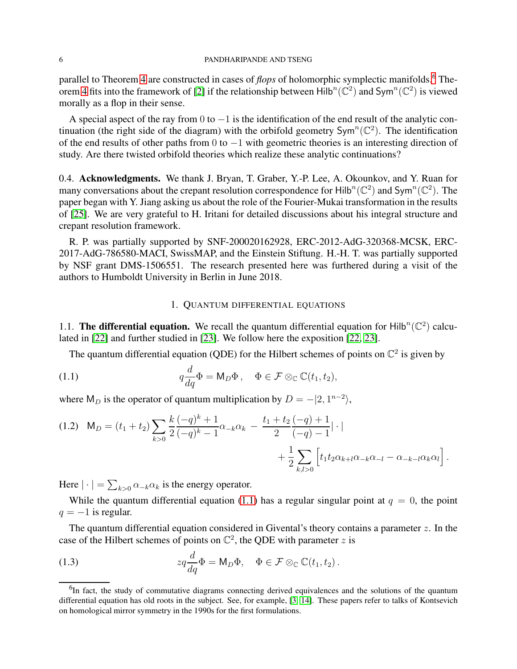#### 6 PANDHARIPANDE AND TSENG

parallel to Theorem [4](#page-4-2) are constructed in cases of *flops* of holomorphic symplectic manifolds.<sup>[6](#page-5-1)</sup> The-orem [4](#page-4-2) fits into the framework of [\[2\]](#page-23-1) if the relationship between  $\text{Hilb}^n(\mathbb{C}^2)$  and  $\text{Sym}^n(\mathbb{C}^2)$  is viewed morally as a flop in their sense.

A special aspect of the ray from  $0$  to  $-1$  is the identification of the end result of the analytic continuation (the right side of the diagram) with the orbifold geometry  $Sym^n(\mathbb{C}^2)$ . The identification of the end results of other paths from 0 to −1 with geometric theories is an interesting direction of study. Are there twisted orbifold theories which realize these analytic continuations?

0.4. Acknowledgments. We thank J. Bryan, T. Graber, Y.-P. Lee, A. Okounkov, and Y. Ruan for many conversations about the crepant resolution correspondence for  $\text{Hilb}^n(\mathbb{C}^2)$  and  $\text{Sym}^n(\mathbb{C}^2)$ . The paper began with Y. Jiang asking us about the role of the Fourier-Mukai transformation in the results of [\[25\]](#page-24-4). We are very grateful to H. Iritani for detailed discussions about his integral structure and crepant resolution framework.

R. P. was partially supported by SNF-200020162928, ERC-2012-AdG-320368-MCSK, ERC-2017-AdG-786580-MACI, SwissMAP, and the Einstein Stiftung. H.-H. T. was partially supported by NSF grant DMS-1506551. The research presented here was furthered during a visit of the authors to Humboldt University in Berlin in June 2018.

# <span id="page-5-2"></span>1. QUANTUM DIFFERENTIAL EQUATIONS

<span id="page-5-0"></span>1.1. The differential equation. We recall the quantum differential equation for Hilb<sup>n</sup>( $\mathbb{C}^2$ ) calculated in [\[22\]](#page-24-3) and further studied in [\[23\]](#page-24-12). We follow here the exposition [\[22,](#page-24-3) [23\]](#page-24-12).

The quantum differential equation (QDE) for the Hilbert schemes of points on  $\mathbb{C}^2$  is given by

(1.1) 
$$
q\frac{d}{dq}\Phi = \mathsf{M}_D\Phi\,, \quad \Phi \in \mathcal{F} \otimes_{\mathbb{C}} \mathbb{C}(t_1, t_2),
$$

where  $M_D$  is the operator of quantum multiplication by  $D = -|2, 1^{n-2}\rangle$ ,

$$
(1.2) \quad M_D = (t_1 + t_2) \sum_{k>0} \frac{k}{2} \frac{(-q)^k + 1}{(-q)^k - 1} \alpha_{-k} \alpha_k - \frac{t_1 + t_2}{2} \frac{(-q) + 1}{(-q) - 1} | \cdot | + \frac{1}{2} \sum_{k,l>0} \left[ t_1 t_2 \alpha_{k+l} \alpha_{-k} \alpha_{-l} - \alpha_{-k-l} \alpha_k \alpha_l \right].
$$

Here  $|\cdot| = \sum_{k>0} \alpha_{-k} \alpha_k$  is the energy operator.

While the quantum differential equation [\(1.1\)](#page-5-2) has a regular singular point at  $q = 0$ , the point  $q = -1$  is regular.

The quantum differential equation considered in Givental's theory contains a parameter  $z$ . In the case of the Hilbert schemes of points on  $\mathbb{C}^2$ , the QDE with parameter z is

<span id="page-5-3"></span>(1.3) 
$$
zq\frac{d}{dq}\Phi = \mathsf{M}_D\Phi, \quad \Phi \in \mathcal{F} \otimes_{\mathbb{C}} \mathbb{C}(t_1, t_2).
$$

<span id="page-5-1"></span><sup>&</sup>lt;sup>6</sup>In fact, the study of commutative diagrams connecting derived equivalences and the solutions of the quantum differential equation has old roots in the subject. See, for example, [\[3,](#page-23-2) [14\]](#page-24-18). These papers refer to talks of Kontsevich on homological mirror symmetry in the 1990s for the first formulations.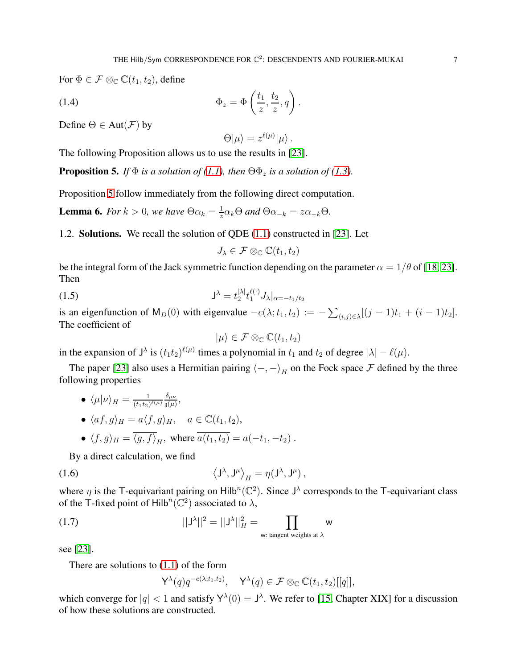For  $\Phi \in \mathcal{F} \otimes_{\mathbb{C}} \mathbb{C}(t_1, t_2)$ , define

(1.4) 
$$
\Phi_z = \Phi\left(\frac{t_1}{z}, \frac{t_2}{z}, q\right).
$$

Define  $\Theta \in Aut(\mathcal{F})$  by

 $\Theta|\mu\rangle=z^{\ell(\mu)}|\mu\rangle.$ 

The following Proposition allows us to use the results in [\[23\]](#page-24-12).

<span id="page-6-1"></span>**Proposition 5.** *If*  $\Phi$  *is a solution of* [\(1.1\)](#page-5-2)*, then*  $\Theta \Phi_z$  *is a solution of* [\(1.3\)](#page-5-3)*.* 

Proposition [5](#page-6-1) follow immediately from the following direct computation.

**Lemma 6.** *For*  $k > 0$ , we have  $\Theta \alpha_k = \frac{1}{z}$  $\frac{1}{z}\alpha_k\Theta$  and  $\Theta\alpha_{-k} = z\alpha_{-k}\Theta$ .

1.2. Solutions. We recall the solution of QDE [\(1.1\)](#page-5-2) constructed in [\[23\]](#page-24-12). Let

$$
J_{\lambda} \in \mathcal{F} \otimes_{\mathbb{C}} \mathbb{C}(t_1, t_2)
$$

be the integral form of the Jack symmetric function depending on the parameter  $\alpha = 1/\theta$  of [\[18,](#page-24-11) [23\]](#page-24-12). Then

(1.5) 
$$
\mathsf{J}^{\lambda} = t_2^{|\lambda|} t_1^{\ell(\cdot)} J_{\lambda}|_{\alpha = -t_1/t_2}
$$

is an eigenfunction of  $M_D(0)$  with eigenvalue  $-c(\lambda; t_1, t_2) := -\sum_{(i,j)\in\lambda} [(j-1)t_1 + (i-1)t_2].$ The coefficient of

<span id="page-6-0"></span>
$$
|\mu\rangle \in \mathcal{F} \otimes_{\mathbb{C}} \mathbb{C}(t_1,t_2)
$$

in the expansion of  $J^{\lambda}$  is  $(t_1t_2)^{\ell(\mu)}$  times a polynomial in  $t_1$  and  $t_2$  of degree  $|\lambda| - \ell(\mu)$ .

The paper [\[23\]](#page-24-12) also uses a Hermitian pairing  $\langle -, - \rangle_H$  on the Fock space F defined by the three following properties

$$
\bullet \ \langle \mu | \nu \rangle_H = \frac{1}{(t_1 t_2)^{\ell(\mu)}} \frac{\delta_{\mu\nu}}{\mathfrak{z}(\mu)},
$$

- $\langle af, g \rangle_H = a \langle f, g \rangle_H$ ,  $a \in \mathbb{C}(t_1, t_2)$ ,
- $\langle f, g \rangle_H = \langle g, f \rangle_H$ , where  $a(t_1, t_2) = a(-t_1, -t_2)$ .

By a direct calculation, we find

(1.6) 
$$
\left\langle \mathsf{J}^{\lambda},\mathsf{J}^{\mu}\right\rangle_{H}=\eta(\mathsf{J}^{\lambda},\mathsf{J}^{\mu}),
$$

where  $\eta$  is the T-equivariant pairing on Hilb<sup>n</sup>( $\mathbb{C}^2$ ). Since J<sup> $\lambda$ </sup> corresponds to the T-equivariant class of the T-fixed point of Hilb<sup>n</sup>( $\mathbb{C}^2$ ) associated to  $\lambda$ ,

(1.7) 
$$
||J^{\lambda}||^{2} = ||J^{\lambda}||_{H}^{2} = \prod_{\text{w: tangent weights at }\lambda} w
$$

see [\[23\]](#page-24-12).

There are solutions to [\(1.1\)](#page-5-2) of the form

<span id="page-6-2"></span>
$$
\mathsf{Y}^{\lambda}(q)q^{-c(\lambda;t_1,t_2)}, \quad \mathsf{Y}^{\lambda}(q) \in \mathcal{F} \otimes_{\mathbb{C}} \mathbb{C}(t_1,t_2)[[q]],
$$

which converge for  $|q| < 1$  and satisfy  $Y^{\lambda}(0) = J^{\lambda}$ . We refer to [\[15,](#page-24-19) Chapter XIX] for a discussion of how these solutions are constructed.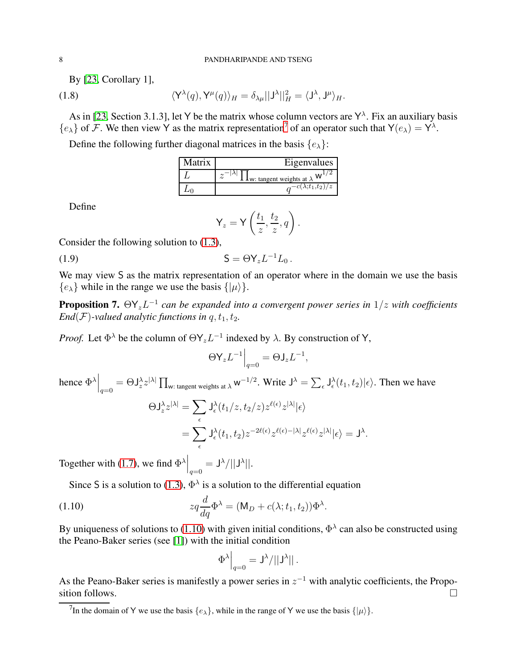By [\[23,](#page-24-12) Corollary 1],

(1.8) 
$$
\langle Y^{\lambda}(q), Y^{\mu}(q) \rangle_{H} = \delta_{\lambda\mu} ||J^{\lambda}||_{H}^{2} = \langle J^{\lambda}, J^{\mu} \rangle_{H}.
$$

As in [\[23,](#page-24-12) Section 3.1.3], let Y be the matrix whose column vectors are  $Y^{\lambda}$ . Fix an auxiliary basis  $\{e_{\lambda}\}\$  of F. We then view Y as the matrix representation<sup>[7](#page-7-0)</sup> of an operator such that  $Y(e_{\lambda}) = Y^{\lambda}$ .

Define the following further diagonal matrices in the basis  $\{e_{\lambda}\}\$ :

| Matrix | Eigenvalues                              |
|--------|------------------------------------------|
|        | <b>L</b> w: tangent weights at $\lambda$ |
|        | $-c(\lambda; t_1,t_2)/z$                 |

Define

$$
\mathsf{Y}_z = \mathsf{Y}\left(\frac{t_1}{z}, \frac{t_2}{z}, q\right).
$$

Consider the following solution to [\(1.3\)](#page-5-3),

(1.9)  $S = \Theta Y_z L^{-1} L_0$ .

We may view S as the matrix representation of an operator where in the domain we use the basis  ${e_{\lambda}}$  while in the range we use the basis  ${ | \mu \rangle}.$ 

<span id="page-7-2"></span>**Proposition 7.**  $\Theta Y_z L^{-1}$  can be expanded into a convergent power series in  $1/z$  with coefficients *End*(*F*)*-valued analytic functions in q, t<sub>1</sub>, t<sub>2</sub>.* 

*Proof.* Let  $\Phi^{\lambda}$  be the column of  $\Theta Y_z L^{-1}$  indexed by  $\lambda$ . By construction of Y,

$$
\Theta \mathsf{Y}_z L^{-1} \Big|_{q=0} = \Theta \mathsf{J}_z L^{-1},
$$

hence  $\Phi^{\lambda}\Big|_{q=0} = \Theta J_z^{\lambda} z^{|\lambda|} \prod_{w:\text{ tangent weights at }\lambda} w^{-1/2}$ . Write  $J^{\lambda} = \sum_{\epsilon} J_{\epsilon}^{\lambda}(t_1, t_2) |\epsilon\rangle$ . Then we have  $\Theta J_z^{\lambda} z^{|\lambda|} = \sum$  $\epsilon$  $\mathsf{J}^{\lambda}_{\epsilon}(t_1/z,t_2/z)z^{\ell(\epsilon)}z^{|\lambda|}|\epsilon\rangle$  $=\sum$  $\epsilon$  $\mathsf{J}^\lambda_\epsilon(t_1,t_2)z^{-2\ell(\epsilon)}z^{\ell(\epsilon)-|\lambda|}z^{\ell(\epsilon)}z^{|\lambda|}|\epsilon\rangle=\mathsf{J}^\lambda.$ 

Together with [\(1.7\)](#page-6-2), we find  $\Phi^{\lambda} \Big|_{q=0} = J^{\lambda} / ||J^{\lambda}||$ .

Since S is a solution to [\(1.3\)](#page-5-3),  $\Phi^{\lambda}$  is a solution to the differential equation

(1.10) 
$$
zq\frac{d}{dq}\Phi^{\lambda} = (\mathsf{M}_{D} + c(\lambda; t_1, t_2))\Phi^{\lambda}.
$$

By uniqueness of solutions to [\(1.10\)](#page-7-1) with given initial conditions,  $\Phi^{\lambda}$  can also be constructed using the Peano-Baker series (see [\[1\]](#page-23-3)) with the initial condition

<span id="page-7-1"></span>
$$
\Phi^\lambda\Big|_{q=0} = \mathsf{J}^\lambda / ||\mathsf{J}^\lambda||\,.
$$

As the Peano-Baker series is manifestly a power series in  $z^{-1}$  with analytic coefficients, the Proposition follows.

<span id="page-7-0"></span><sup>&</sup>lt;sup>7</sup>In the domain of Y we use the basis  $\{e_{\lambda}\}\$ , while in the range of Y we use the basis  $\{|\mu\rangle\}\$ .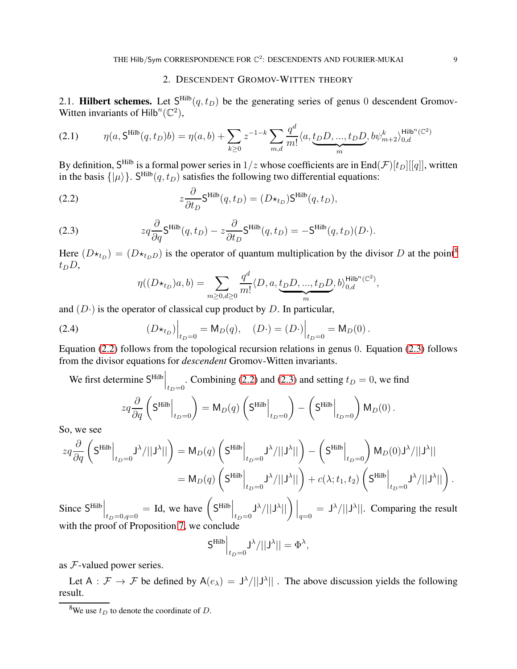# 2. DESCENDENT GROMOV-WITTEN THEORY

<span id="page-8-0"></span>2.1. **Hilbert schemes.** Let  $S<sup>Hilb</sup>(q, t_D)$  be the generating series of genus 0 descendent Gromov-Witten invariants of  $\text{Hilb}^n(\mathbb{C}^2)$ ,

$$
(2.1) \qquad \eta(a, S^{\text{Hilb}}(q, t_D)b) = \eta(a, b) + \sum_{k \ge 0} z^{-1-k} \sum_{m,d} \frac{q^d}{m!} \langle a, \underbrace{t_D D, ..., t_D D}_{m}, b\psi^k_{m+2} \rangle_{0, d}^{\text{Hilb}^n(\mathbb{C}^2)}
$$

By definition,  $S^{\text{Hilb}}$  is a formal power series in  $1/z$  whose coefficients are in End $(\mathcal{F})[t_D][[q]]$ , written in the basis  $\{|\mu\rangle\}$ . S<sup>Hilb</sup> $(q, t_D)$  satisfies the following two differential equations:

(2.2) 
$$
z\frac{\partial}{\partial t_D}S^{\text{Hilb}}(q, t_D) = (D\star_{t_D})S^{\text{Hilb}}(q, t_D),
$$

(2.3) 
$$
zq \frac{\partial}{\partial q} \mathsf{S}^{\mathrm{Hilb}}(q, t_D) - z \frac{\partial}{\partial t_D} \mathsf{S}^{\mathrm{Hilb}}(q, t_D) = -\mathsf{S}^{\mathrm{Hilb}}(q, t_D)(D \cdot).
$$

Here  $(D \star_{t_D}) = (D \star_{t_D})$  is the operator of quantum multiplication by the divisor D at the point<sup>[8](#page-8-2)</sup>  $t_D D$ ,

<span id="page-8-4"></span><span id="page-8-3"></span><span id="page-8-1"></span>
$$
\eta((D\star_{t_D})a,b)=\sum_{m\geq 0,d\geq 0}\frac{q^d}{m!}\langle D,a,\underbrace{t_D D,...,t_D D}_{m},b\rangle_{0,d}^{\mathsf{Hilb}^n(\mathbb{C}^2)},
$$

and  $(D<sup>.)</sup>$  is the operator of classical cup product by D. In particular,

(2.4) 
$$
(D \star_{t_D})\Big|_{t_D=0} = M_D(q), \quad (D \cdot) = (D \cdot)\Big|_{t_D=0} = M_D(0).
$$

Equation [\(2.2\)](#page-8-1) follows from the topological recursion relations in genus 0. Equation [\(2.3\)](#page-8-3) follows from the divisor equations for *descendent* Gromov-Witten invariants.

We first determine 
$$
S^{\text{Hilb}}\Big|_{t_D=0}
$$
. Combining (2.2) and (2.3) and setting  $t_D = 0$ , we find  

$$
zq \frac{\partial}{\partial q} \left( S^{\text{Hilb}}\Big|_{t_D=0} \right) = M_D(q) \left( S^{\text{Hilb}}\Big|_{t_D=0} \right) - \left( S^{\text{Hilb}}\Big|_{t_D=0} \right) M_D(0).
$$

So, we see

$$
zq\frac{\partial}{\partial q}\left(\mathsf{S}^{\mathrm{Hilb}}\Big|_{t_D=0}\mathsf{J}^\lambda/\big|\big|\mathsf{J}^\lambda\big|\big|\right)=\mathsf{M}_D(q)\left(\mathsf{S}^{\mathrm{Hilb}}\Big|_{t_D=0}\mathsf{J}^\lambda/\big|\big|\mathsf{J}^\lambda\big|\big|\right)-\left(\mathsf{S}^{\mathrm{Hilb}}\Big|_{t_D=0}\right)\mathsf{M}_D(0)\mathsf{J}^\lambda/\big|\big|\mathsf{J}^\lambda\big|\big|
$$

$$
=\mathsf{M}_D(q)\left(\mathsf{S}^{\mathrm{Hilb}}\Big|_{t_D=0}\mathsf{J}^\lambda/\big|\big|\mathsf{J}^\lambda\big|\big|\right)+c(\lambda;t_1,t_2)\left(\mathsf{S}^{\mathrm{Hilb}}\Big|_{t_D=0}\mathsf{J}^\lambda/\big|\big|\mathsf{J}^\lambda\big|\big|\right).
$$

Since  $S<sup>Hilb</sup>\Big|_{t_D=0,q=0}$ = Id, we have  $(S^{\text{Hilb}})_{t_D=0}$  $\mathsf{J}^\lambda/\vert\vert \mathsf{J}^\lambda$  $||\bigg)\Big|_{q=0} = J^{\lambda}/||J^{\lambda}||.$  Comparing the result with the proof of Proposition [7,](#page-7-2) we conclude

$$
\mathsf{S}^{\mathrm{Hilb}}\Big|_{t_D=0}\mathsf{J}^\lambda/||\mathsf{J}^\lambda||=\Phi^\lambda,
$$

as F-valued power series.

Let  $A : \mathcal{F} \to \mathcal{F}$  be defined by  $A(e_{\lambda}) = J^{\lambda}/||J^{\lambda}||$ . The above discussion yields the following result.

<span id="page-8-2"></span><sup>&</sup>lt;sup>8</sup>We use  $t_D$  to denote the coordinate of D.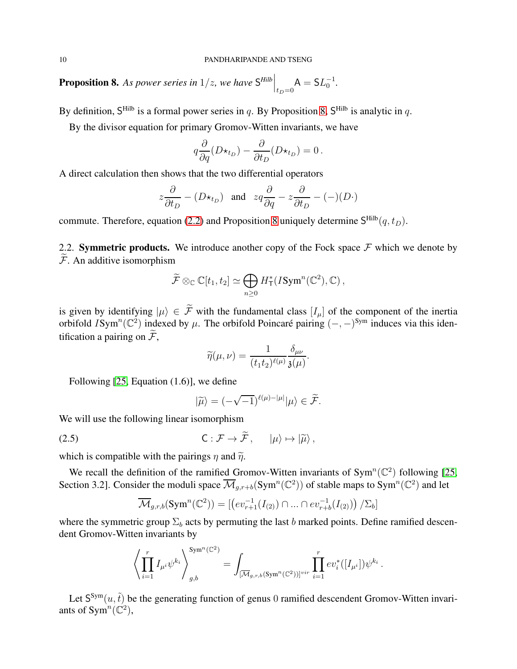<span id="page-9-1"></span>**Proposition 8.** As power series in  $1/z$ , we have  $S<sup>Hilb</sup>$   $\Big|_{t_D=0}$  $A = SL_0^{-1}$ .

By definition, S<sup>Hilb</sup> is a formal power series in q. By Proposition [8,](#page-9-1) S<sup>Hilb</sup> is analytic in q.

By the divisor equation for primary Gromov-Witten invariants, we have

$$
q\frac{\partial}{\partial q}(D\star_{t_D}) - \frac{\partial}{\partial t_D}(D\star_{t_D}) = 0.
$$

A direct calculation then shows that the two differential operators

$$
z\frac{\partial}{\partial t_D} - (D\star_{t_D})
$$
 and  $zq\frac{\partial}{\partial q} - z\frac{\partial}{\partial t_D} - (-)(D\cdot)$ 

commute. Therefore, equation [\(2.2\)](#page-8-1) and Proposition [8](#page-9-1) uniquely determine  $S<sup>Hilb</sup>(q, t_D)$ .

2.2. Symmetric products. We introduce another copy of the Fock space  $\mathcal F$  which we denote by  $\mathcal{F}$ . An additive isomorphism

$$
\widetilde{\mathcal{F}} \otimes_{\mathbb{C}} \mathbb{C}[t_1, t_2] \simeq \bigoplus_{n \geq 0} H_{\mathsf{T}}^*(I\text{Sym}^n(\mathbb{C}^2), \mathbb{C}),
$$

is given by identifying  $|\mu\rangle \in \tilde{\mathcal{F}}$  with the fundamental class  $[I_{\mu}]$  of the component of the inertia orbifold  $ISym^n(\mathbb{C}^2)$  indexed by  $\mu$ . The orbifold Poincaré pairing  $(-,-)^{\text{Sym}}$  induces via this identification a pairing on  $\widetilde{\mathcal{F}}$ ,

$$
\widetilde{\eta}(\mu,\nu)=\frac{1}{(t_1t_2)^{\ell(\mu)}}\frac{\delta_{\mu\nu}}{\mathfrak{z}(\mu)}.
$$

Following [\[25,](#page-24-4) Equation (1.6)], we define

<span id="page-9-0"></span>
$$
|\widetilde{\mu}\rangle = (-\sqrt{-1})^{\ell(\mu)-|\mu|}|\mu\rangle \in \widetilde{\mathcal{F}}.
$$

We will use the following linear isomorphism

(2.5) 
$$
\mathsf{C}: \mathcal{F} \to \mathcal{F}, \qquad |\mu\rangle \mapsto |\widetilde{\mu}\rangle,
$$

which is compatible with the pairings  $\eta$  and  $\tilde{\eta}$ .

We recall the definition of the ramified Gromov-Witten invariants of  $Sym^n(\mathbb{C}^2)$  following [\[25,](#page-24-4) Section 3.2]. Consider the moduli space  $\overline{\mathcal{M}}_{g,r+b}(\text{Sym}^n(\mathbb{C}^2))$  of stable maps to  $\text{Sym}^n(\mathbb{C}^2)$  and let

$$
\overline{\mathcal{M}}_{g,r,b}(\mathrm{Sym}^n(\mathbb{C}^2)) = \left[ \left( ev_{r+1}^{-1}(I_{(2)}) \cap \ldots \cap ev_{r+b}^{-1}(I_{(2)}) \right) / \Sigma_b \right]
$$

where the symmetric group  $\Sigma_b$  acts by permuting the last b marked points. Define ramified descendent Gromov-Witten invariants by

$$
\left\langle \prod_{i=1}^r I_{\mu^i} \psi^{k_i} \right\rangle_{g,b}^{\text{Sym}^n(\mathbb{C}^2)} = \int_{\overline{[\mathcal{M}}_{g,r,b}(\text{Sym}^n(\mathbb{C}^2))]^{vir}} \prod_{i=1}^r \text{ev}_i^*([I_{\mu^i}]) \psi^{k_i}.
$$

Let  $S^{Sym}(u, \tilde{t})$  be the generating function of genus 0 ramified descendent Gromov-Witten invariants of Sym<sup>n</sup>( $\mathbb{C}^2$ ),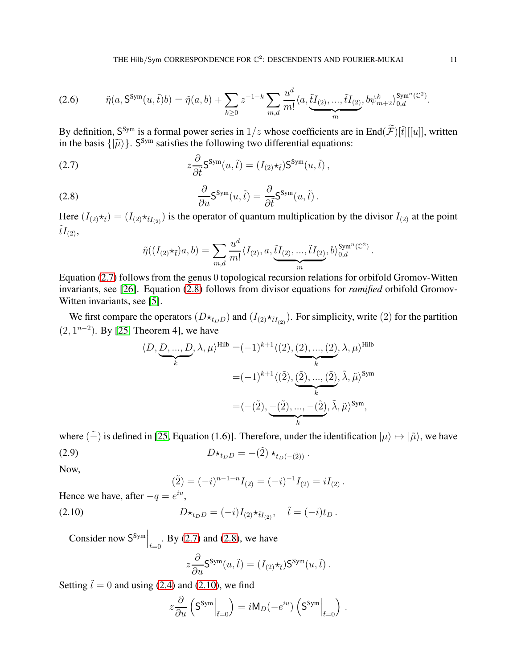$$
(2.6) \qquad \tilde{\eta}(a, \mathsf{S}^{\text{Sym}}(u,\tilde{t})b) = \tilde{\eta}(a,b) + \sum_{k \ge 0} z^{-1-k} \sum_{m,d} \frac{u^d}{m!} \langle a, \underbrace{\tilde{t}I_{(2)},...,\tilde{t}I_{(2)}}_{m}, b\psi^k_{m+2} \rangle_{0,d}^{\text{Sym}^n(\mathbb{C}^2)}.
$$

By definition,  $S^{Sym}$  is a formal power series in  $1/z$  whose coefficients are in End $(\widetilde{\mathcal{F}})[\widetilde{t}][[u]]$ , written in the basis  $\{|\widetilde{\mu}\rangle\}$ . S<sup>Sym</sup> satisfies the following two differential equations:

(2.7) 
$$
z \frac{\partial}{\partial \tilde{t}} S^{Sym}(u, \tilde{t}) = (I_{(2)} \star_{\tilde{t}}) S^{Sym}(u, \tilde{t}),
$$

(2.8) 
$$
\frac{\partial}{\partial u} S^{\text{Sym}}(u, \tilde{t}) = \frac{\partial}{\partial \tilde{t}} S^{\text{Sym}}(u, \tilde{t}).
$$

Here  $(I_{(2)}\star_{\tilde{t}}) = (I_{(2)}\star_{\tilde{t}}I_{(2)})$  is the operator of quantum multiplication by the divisor  $I_{(2)}$  at the point  $tI_{(2)}$ ,

<span id="page-10-1"></span><span id="page-10-0"></span>
$$
\tilde{\eta}((I_{(2)}\star_{\tilde{t}})a,b)=\sum_{m,d}\frac{u^d}{m!}\langle I_{(2)},a,\underbrace{\tilde{t}I_{(2)},...,\tilde{t}I_{(2)}}_{m},b\rangle_{0,d}^{\text{Sym}^n(\mathbb{C}^2)}.
$$

Equation [\(2.7\)](#page-10-0) follows from the genus 0 topological recursion relations for orbifold Gromov-Witten invariants, see [\[26\]](#page-24-20). Equation [\(2.8\)](#page-10-1) follows from divisor equations for *ramified* orbifold Gromov-Witten invariants, see [\[5\]](#page-24-1).

We first compare the operators  $(D \star_{t_D} D)$  and  $(I_{(2)} \star_{\tilde{t}_1} I_{(2)})$ . For simplicity, write (2) for the partition  $(2, 1^{n-2})$ . By [\[25,](#page-24-4) Theorem 4], we have

$$
\langle D, \underbrace{D, \dots, D}_{k}, \lambda, \mu \rangle^{\text{Hilb}} = (-1)^{k+1} \langle (2), \underbrace{(2), \dots, (2)}_{k}, \lambda, \mu \rangle^{\text{Hilb}}
$$

$$
= (-1)^{k+1} \langle (\tilde{2}), \underbrace{(\tilde{2}), \dots, (\tilde{2})}_{k}, \tilde{\lambda}, \tilde{\mu} \rangle^{\text{Sym}}
$$

$$
= \langle -(\tilde{2}), \underbrace{-(\tilde{2}), \dots, -(\tilde{2})}_{k}, \tilde{\lambda}, \tilde{\mu} \rangle^{\text{Sym}},
$$

where  $(\tilde{-})$  is defined in [\[25,](#page-24-4) Equation (1.6)]. Therefore, under the identification  $|\mu\rangle \mapsto |\tilde{\mu}\rangle$ , we have

(2.9) 
$$
D \star_{t_D D} = -(\tilde{2}) \star_{t_D(-(\tilde{2}))}.
$$

Now,

<span id="page-10-2"></span>
$$
(\tilde{2}) = (-i)^{n-1-n} I_{(2)} = (-i)^{-1} I_{(2)} = i I_{(2)}.
$$

Hence we have, after  $-q = e^{iu}$ ,

(2.10) 
$$
D \star_{t_D D} = (-i) I_{(2)} \star_{\tilde{t} I_{(2)}}, \quad \tilde{t} = (-i) t_D.
$$

Consider now  $S^{Sym}\Big|_{\tilde{t}=0}$ . By [\(2.7\)](#page-10-0) and [\(2.8\)](#page-10-1), we have  $\partial$ 

$$
z\frac{\partial}{\partial u}\mathsf{S}^{\mathsf{Sym}}(u,\tilde{t})=(I_{(2)}\star_{\tilde{t}})\mathsf{S}^{\mathsf{Sym}}(u,\tilde{t})\,.
$$

Setting  $\tilde{t} = 0$  and using [\(2.4\)](#page-8-4) and [\(2.10\)](#page-10-2), we find

$$
z\frac{\partial}{\partial u}\left(\mathsf{S}^{\text{Sym}}\Big|_{\tilde{t}=0}\right) = i\mathsf{M}_D(-e^{iu})\left(\mathsf{S}^{\text{Sym}}\Big|_{\tilde{t}=0}\right) .
$$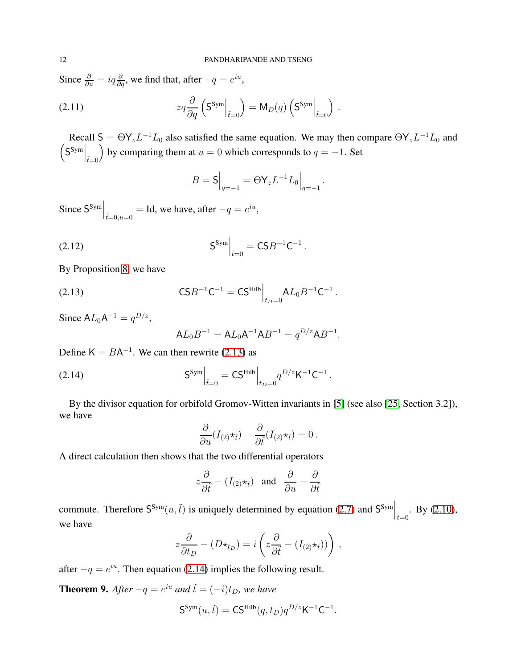Since  $\frac{\partial}{\partial u} = iq \frac{\partial}{\partial q}$ , we find that, after  $-q = e^{iu}$ ,

(2.11) 
$$
zq \frac{\partial}{\partial q} \left( \mathbf{S}^{\text{Sym}} \Big|_{\tilde{t}=0} \right) = \mathsf{M}_D(q) \left( \mathbf{S}^{\text{Sym}} \Big|_{\tilde{t}=0} \right) .
$$

Recall  $S = \Theta Y_z L^{-1} L_0$  also satisfied the same equation. We may then compare  $\Theta Y_z L^{-1} L_0$  and  $\left(\mathsf{S}^\mathsf{Sym}\Big|_{\tilde{t}=0}$ by comparing them at  $u = 0$  which corresponds to  $q = -1$ . Set

$$
B = \mathsf{S}\Big|_{q=-1} = \Theta \mathsf{Y}_z L^{-1} L_0 \Big|_{q=-1} \,.
$$

Since  $S^{Sym}\Big|_{\tilde{t}=0, u=0} = \text{Id}$ , we have, after  $-q = e^{iu}$ ,

(2.12) 
$$
S^{\text{Sym}}\Big|_{\tilde{t}=0} = CSB^{-1}C^{-1}.
$$

By Proposition [8,](#page-9-1) we have

(2.13) 
$$
\mathsf{CS}B^{-1}\mathsf{C}^{-1} = \mathsf{CS}^{\mathsf{Hilb}}\Big|_{t_D=0} \mathsf{A}L_0B^{-1}\mathsf{C}^{-1}.
$$

Since  $AL_0A^{-1} = q^{D/z}$ ,

<span id="page-11-1"></span><span id="page-11-0"></span>
$$
AL_0B^{-1} = AL_0A^{-1}AB^{-1} = q^{D/z}AB^{-1}.
$$

Define  $K = BA^{-1}$ . We can then rewrite [\(2.13\)](#page-11-0) as

(2.14) 
$$
S^{Sym}\Big|_{\tilde{t}=0} = CS^{Hilb}\Big|_{t_D=0} q^{D/z} K^{-1} C^{-1}.
$$

By the divisor equation for orbifold Gromov-Witten invariants in [\[5\]](#page-24-1) (see also [\[25,](#page-24-4) Section 3.2]), we have

$$
\frac{\partial}{\partial u}(I_{(2)}\star_{\tilde{t}})-\frac{\partial}{\partial \tilde{t}}(I_{(2)}\star_{\tilde{t}})=0.
$$

A direct calculation then shows that the two differential operators

$$
z\frac{\partial}{\partial \tilde{t}} - (I_{(2)} \star_{\tilde{t}})
$$
 and  $\frac{\partial}{\partial u} - \frac{\partial}{\partial \tilde{t}}$ 

commute. Therefore  $S^{Sym}(u, \tilde{t})$  is uniquely determined by equation [\(2.7\)](#page-10-0) and  $S^{Sym}\Big|_{\tilde{t}=0}$ . By [\(2.10\)](#page-10-2), we have

$$
z\frac{\partial}{\partial t_D} - (D\star_{t_D}) = i\left(z\frac{\partial}{\partial \tilde t} - (I_{(2)}\star_{\tilde t}))\right)\,,
$$

after  $-q = e^{iu}$ . Then equation [\(2.14\)](#page-11-1) implies the following result.

<span id="page-11-2"></span>**Theorem 9.** After  $-q = e^{iu}$  and  $\tilde{t} = (-i)t_D$ , we have

$$
\mathsf{S}^{\mathsf{Sym}}(u,\tilde{t}) = \mathsf{CS}^{\mathsf{Hilb}}(q,t_D) q^{D/z} \mathsf{K}^{-1} \mathsf{C}^{-1}.
$$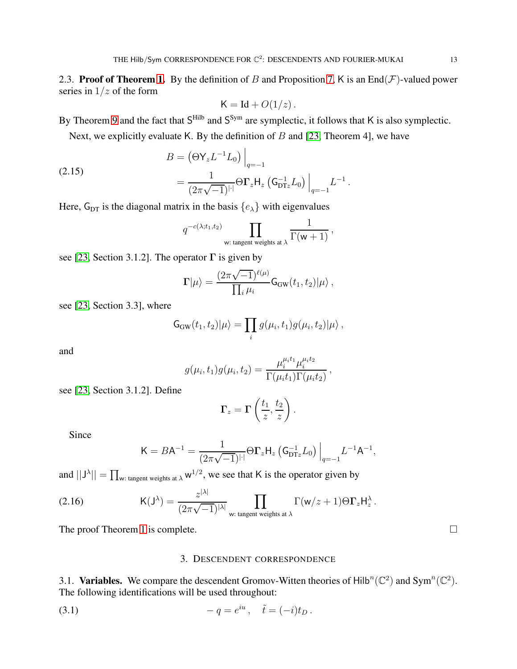2.3. Proof of Theorem [1.](#page-2-2) By the definition of B and Proposition [7,](#page-7-2) K is an End $(\mathcal{F})$ -valued power series in  $1/z$  of the form

$$
K = Id + O(1/z).
$$

By Theorem [9](#page-11-2) and the fact that  $S<sup>Hilb</sup>$  and  $S<sup>Sym</sup>$  are symplectic, it follows that K is also symplectic.

Next, we explicitly evaluate K. By the definition of  $B$  and [\[23,](#page-24-12) Theorem 4], we have

(2.15) 
$$
B = (\Theta Y_z L^{-1} L_0) \Big|_{q=-1}
$$

$$
= \frac{1}{(2\pi\sqrt{-1})^{|\cdot|}} \Theta \Gamma_z H_z (G_{\text{DT}z}^{-1} L_0) \Big|_{q=-1} L^{-1}.
$$

Here,  $G_{DT}$  is the diagonal matrix in the basis  $\{e_{\lambda}\}\$  with eigenvalues

$$
q^{-c(\lambda;t_1,t_2)}\prod_{\mathsf{w}: \text{ tangent weights at }\lambda}\frac{1}{\Gamma(\mathsf{w}+1)},
$$

see [\[23,](#page-24-12) Section 3.1.2]. The operator  $\Gamma$  is given by

$$
\Gamma|\mu\rangle = \frac{(2\pi\sqrt{-1})^{\ell(\mu)}}{\prod_i \mu_i} \mathsf{G}_{\mathrm{GW}}(t_1, t_2)|\mu\rangle \,,
$$

see [\[23,](#page-24-12) Section 3.3], where

$$
\mathsf{G}_{\mathrm{GW}}(t_1,t_2)|\mu\rangle = \prod_i g(\mu_i,t_1)g(\mu_i,t_2)|\mu\rangle ,
$$

and

$$
g(\mu_i, t_1)g(\mu_i, t_2) = \frac{\mu_i^{\mu_i t_1} \mu_i^{\mu_i t_2}}{\Gamma(\mu_i t_1)\Gamma(\mu_i t_2)},
$$

see [\[23,](#page-24-12) Section 3.1.2]. Define

$$
\Gamma_z = \Gamma\left(\frac{t_1}{z}, \frac{t_2}{z}\right).
$$

Since

<span id="page-12-1"></span>
$$
\mathsf{K} = B \mathsf{A}^{-1} = \frac{1}{(2\pi\sqrt{-1})^{|\cdot|}} \Theta \mathbf{\Gamma}_z \mathsf{H}_z \left( \mathsf{G}_{\mathrm{DT}z}^{-1} L_0 \right) \Big|_{q=-1} L^{-1} \mathsf{A}^{-1},
$$

and  $||J^{\lambda}|| = \prod_{w: \text{ tangent weights at } \lambda} w^{1/2}$ , we see that K is the operator given by

(2.16) 
$$
\mathsf{K}(\mathsf{J}^{\lambda}) = \frac{z^{|\lambda|}}{(2\pi\sqrt{-1})^{|\lambda|}} \prod_{\mathsf{w}: \text{ tangent weights at } \lambda} \Gamma(\mathsf{w}/z+1) \Theta \Gamma_z \mathsf{H}^{\lambda}_z.
$$

<span id="page-12-0"></span>The proof Theorem [1](#page-2-2) is complete.  $\Box$ 

# 3. DESCENDENT CORRESPONDENCE

3.1. Variables. We compare the descendent Gromov-Witten theories of Hilb<sup>n</sup>( $\mathbb{C}^2$ ) and Sym<sup>n</sup>( $\mathbb{C}^2$ ). The following identifications will be used throughout:

(3.1) 
$$
-q = e^{iu}, \quad \tilde{t} = (-i)t_D.
$$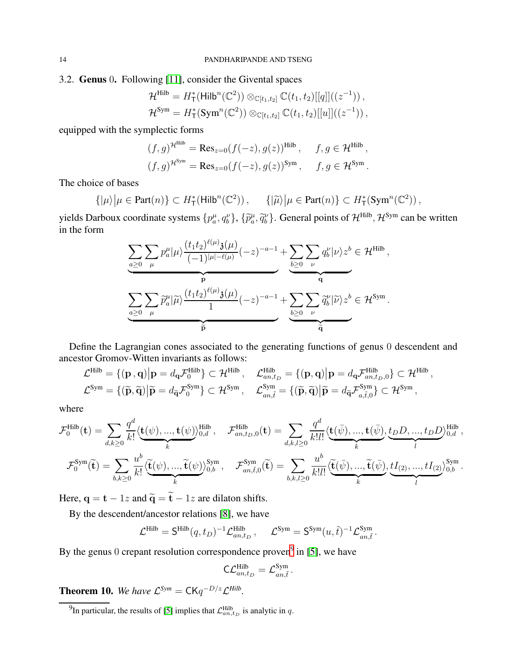# <span id="page-13-1"></span>3.2. Genus 0. Following [\[11\]](#page-24-10), consider the Givental spaces

$$
\mathcal{H}^{\text{Hilb}} = H_{\text{T}}^{*}(\text{Hilb}^{n}(\mathbb{C}^{2})) \otimes_{\mathbb{C}[t_{1},t_{2}]} \mathbb{C}(t_{1},t_{2})[[q]]((z^{-1})),\mathcal{H}^{\text{Sym}} = H_{\text{T}}^{*}(\text{Sym}^{n}(\mathbb{C}^{2})) \otimes_{\mathbb{C}[t_{1},t_{2}]} \mathbb{C}(t_{1},t_{2})[[u]]((z^{-1})),
$$

equipped with the symplectic forms

$$
(f,g)^{\mathcal{H}^{\text{Hilb}}}= \text{Res}_{z=0}(f(-z),g(z))^{\text{Hilb}}, \quad f,g \in \mathcal{H}^{\text{Hilb}},
$$

$$
(f,g)^{\mathcal{H}^{\text{Sym}}}= \text{Res}_{z=0}(f(-z),g(z))^{\text{Sym}}, \quad f,g \in \mathcal{H}^{\text{Sym}}.
$$

The choice of bases

$$
\{|\mu\rangle \big| \mu \in \text{Part}(n)\} \subset H^*_{\mathsf{T}}(\mathsf{Hilb}^n(\mathbb{C}^2)), \qquad \{|\widetilde{\mu}\rangle \big| \mu \in \text{Part}(n)\} \subset H^*_{\mathsf{T}}(\text{Sym}^n(\mathbb{C}^2)),
$$

yields Darboux coordinate systems  $\{p_a^{\mu}, q_b^{\nu}\}, \{\tilde{p}_a^{\mu}, \tilde{q}_b^{\nu}\}.$  General points of  $\mathcal{H}^{\text{Hilb}}$ ,  $\mathcal{H}^{\text{Sym}}$  can be written in the form

$$
\underbrace{\sum_{a\geq 0}\sum_{\mu}p_{a}^{\mu}|\mu\rangle\frac{(t_1t_2)^{\ell(\mu)}\mathfrak{z}(\mu)}{(-1)^{|\mu|-\ell(\mu)}}(-z)^{-a-1}}_{\mathbf{p}}+\underbrace{\sum_{b\geq 0}\sum_{\nu}q_{b}^{\nu}|\nu\rangle z^{b}}_{\mathbf{q}}\in\mathcal{H}^{\mathrm{Hilb}}_{\mathbf{q}},
$$
\n
$$
\underbrace{\sum_{a\geq 0}\sum_{\mu}\widetilde{p}_{a}^{\mu}|\widetilde{\mu}\rangle\frac{(t_1t_2)^{\ell(\mu)}\mathfrak{z}(\mu)}{1}(-z)^{-a-1}}_{\widetilde{\mathbf{p}}}+\underbrace{\sum_{b\geq 0}\sum_{\nu}\widetilde{q}_{b}^{\nu}|\widetilde{\nu}\rangle z^{b}}_{\widetilde{\mathbf{q}}} \in\mathcal{H}^{\mathrm{Sym}}.
$$

Define the Lagrangian cones associated to the generating functions of genus 0 descendent and ancestor Gromov-Witten invariants as follows:

$$
\mathcal{L}^{\text{Hilb}} = \{ (\mathbf{p}, \mathbf{q}) \big| \mathbf{p} = d_{\mathbf{q}} \mathcal{F}_0^{\text{Hilb}} \} \subset \mathcal{H}^{\text{Hilb}}, \quad \mathcal{L}^{\text{Hilb}}_{an, t_D} = \{ (\mathbf{p}, \mathbf{q}) \big| \mathbf{p} = d_{\mathbf{q}} \mathcal{F}_{an, t_D, 0}^{\text{Hilb}} \} \subset \mathcal{H}^{\text{Hilb}},
$$
  

$$
\mathcal{L}^{\text{Sym}} = \{ (\widetilde{\mathbf{p}}, \widetilde{\mathbf{q}}) \big| \widetilde{\mathbf{p}} = d_{\widetilde{\mathbf{q}}} \mathcal{F}_0^{\text{Sym}} \} \subset \mathcal{H}^{\text{Sym}}, \quad \mathcal{L}^{\text{Sym}}_{an, \tilde{t}} = \{ (\widetilde{\mathbf{p}}, \widetilde{\mathbf{q}}) \big| \widetilde{\mathbf{p}} = d_{\widetilde{\mathbf{q}}} \mathcal{F}_{a, \tilde{t}, 0}^{\text{Sym}} \subset \mathcal{H}^{\text{Sym}},
$$

where

$$
\mathcal{F}_0^{\text{Hilb}}(\mathbf{t}) = \sum_{d,k\geq 0} \frac{q^d}{k!} \langle \underbrace{\mathbf{t}(\psi), ..., \mathbf{t}(\psi)}_{k} \rangle_{0,d}^{\text{Hilb}}, \quad \mathcal{F}_{an,t_D,0}^{\text{Hilb}}(\mathbf{t}) = \sum_{d,k,l\geq 0} \frac{q^d}{k!l!} \langle \underbrace{\mathbf{t}(\bar{\psi}), ..., \mathbf{t}(\bar{\psi})}_{k}, \underbrace{t_D D, ..., t_D D}_{l}, \underbrace{t_D D, ..., t_D D}_{l}, \underbrace{t_B D, ..., t_D D}_{l}, \underbrace{t_B D, ..., t_D D}_{l}, \underbrace{t_B D, ..., t_D D}_{l}, \underbrace{t_B D, ..., t_D D}_{l}, \underbrace{t_B D, ..., t_D D}_{l}, \underbrace{t_B D, ..., t_D D}_{l}, \underbrace{t_B D, ..., t_D D}_{l}, \underbrace{t_B D, ..., t_D D}_{l}, \underbrace{t_B D, ..., t_D D}_{l}, \underbrace{t_B D, ..., t_D D}_{l}, \underbrace{t_B D, ..., t_D D}_{l}, \underbrace{t_B D, ..., t_D D}_{l}, \underbrace{t_B D, ..., t_D D}_{l}, \underbrace{t_B D, ..., t_D D}_{l}, \underbrace{t_B D, ..., t_D D}_{l}, \underbrace{t_B D, ..., t_D D}_{l}, \underbrace{t_B D, ..., t_D D}_{l}, \underbrace{t_B D, ..., t_D D}_{l}, \underbrace{t_B D, ..., t_D D}_{l}, \underbrace{t_B D, ..., t_D D}_{l}, \underbrace{t_B D, ..., t_D D}_{l}, \underbrace{t_B D, ..., t_D D}_{l}, \underbrace{t_B D, ..., t_D D}_{l}, \underbrace{t_B D, ..., t_D D}_{l}, \underbrace{t_B D, ..., t_D D}_{l}, \underbrace{t_B D, ..., t_D D}_{l}, \underbrace{t_B D, ..., t_D D}_{l}, \underbrace{t_B D, ..., t_D D}_{l}, \underbrace{t_B D, ..., t_D D}_{l}, \underbrace{t_B D, ..., t_D D}_{l}, \underbrace{t_B D, ..., t_D D}_{l}, \underbrace{t_B D, ..., t_D D}_{l}, \underbrace{t_B D, ..., t_D D}_{l}, \underbrace{t_B D, ..., t_D D}_{l}, \underbrace{t_B D, ..., t_D D}_{l}, \underbrace{t_B D, ..., t_D D}_{l}, \underbrace{t_B D, ..., t_D D}_{l}, \underbrace{t_B D
$$

Here,  $q = t - 1z$  and  $\tilde{q} = \tilde{t} - 1z$  are dilaton shifts.

By the descendent/ancestor relations [\[8\]](#page-24-21), we have

$$
\mathcal{L}^{\text{Hilb}} = \mathsf{S}^{\text{Hilb}}(q, t_D)^{-1} \mathcal{L}^{\text{Hilb}}_{an, t_D}, \quad \mathcal{L}^{\text{Sym}} = \mathsf{S}^{\text{Sym}}(u, \tilde{t})^{-1} \mathcal{L}^{\text{Sym}}_{an, \tilde{t}}
$$

.

By the genus 0 crepant resolution correspondence proven<sup>[9](#page-13-2)</sup> in [\[5\]](#page-24-1), we have

$$
\mathsf{C}\mathcal{L}^{\mathrm{Hilb}}_{an,t_D}=\mathcal{L}^{\mathrm{Sym}}_{an,\tilde{t}}.
$$

<span id="page-13-0"></span>**Theorem 10.** We have  $\mathcal{L}^{Sym} = \mathsf{CK}q^{-D/z}\mathcal{L}^{Hilb}$ .

<span id="page-13-2"></span><sup>&</sup>lt;sup>9</sup>In particular, the results of [\[5\]](#page-24-1) implies that  $\mathcal{L}_{an,t_D}^{\text{Hilb}}$  is analytic in q.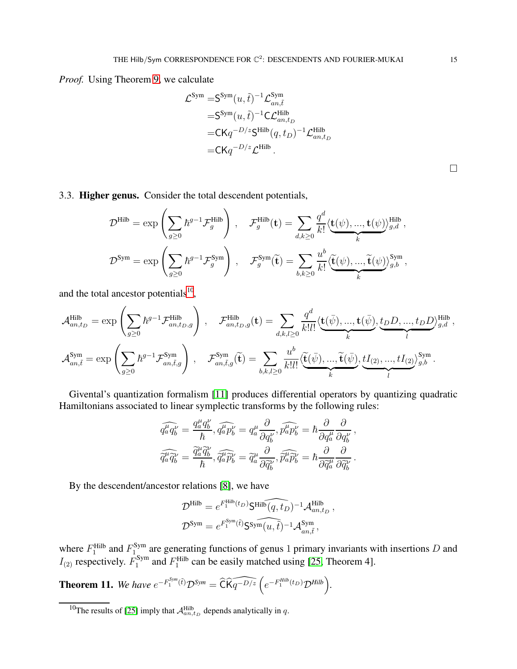*Proof.* Using Theorem [9,](#page-11-2) we calculate

$$
\mathcal{L}^{\text{Sym}} = \mathsf{S}^{\text{Sym}}(u, \tilde{t})^{-1} \mathcal{L}^{\text{Sym}}_{an, \tilde{t}}
$$
  
=  $\mathsf{S}^{\text{Sym}}(u, \tilde{t})^{-1} \mathsf{C} \mathcal{L}^{\text{Hilb}}_{an, t_D}$   
=  $\mathsf{CK} q^{-D/z} \mathsf{S}^{\text{Hilb}}(q, t_D)^{-1} \mathcal{L}^{\text{Hilb}}_{an, t_D}$   
=  $\mathsf{CK} q^{-D/z} \mathcal{L}^{\text{Hilb}}$ .

 $\Box$ 

<span id="page-14-1"></span>3.3. Higher genus. Consider the total descendent potentials,

$$
\mathcal{D}^{\text{Hilb}} = \exp\left(\sum_{g\geq 0} \hbar^{g-1} \mathcal{F}_g^{\text{Hilb}}\right) , \quad \mathcal{F}_g^{\text{Hilb}}(\mathbf{t}) = \sum_{d,k\geq 0} \frac{q^d}{k!} \langle \underbrace{\mathbf{t}(\psi),...,\mathbf{t}(\psi)}_{k} \rangle_{g,d}^{\text{Hilb}} ,
$$
  

$$
\mathcal{D}^{\text{Sym}} = \exp\left(\sum_{g\geq 0} \hbar^{g-1} \mathcal{F}_g^{\text{Sym}}\right) , \quad \mathcal{F}_g^{\text{Sym}}(\widetilde{\mathbf{t}}) = \sum_{b,k\geq 0} \frac{u^b}{k!} \langle \underbrace{\widetilde{\mathbf{t}}(\psi),...,\widetilde{\mathbf{t}}(\psi)}_{k} \rangle_{g,b}^{\text{Sym}} ,
$$

and the total ancestor potentials $10$ ,

$$
\mathcal{A}_{an,t_D}^{\text{Hilb}} = \exp\left(\sum_{g\geq 0} \hbar^{g-1} \mathcal{F}_{an,t_D,g}^{\text{Hilb}}\right) , \quad \mathcal{F}_{an,t_D,g}^{\text{Hilb}}(\mathbf{t}) = \sum_{d,k,l\geq 0} \frac{q^d}{k!l!} \langle \underbrace{\mathbf{t}(\bar{\psi}),...,\mathbf{t}(\bar{\psi})}_{k}, \underbrace{t_D D,...,t_D D}_{l} \rangle^{\text{Hilb}}_{g,d},
$$
\n
$$
\mathcal{A}_{an,\tilde{t}}^{\text{Sym}} = \exp\left(\sum_{g\geq 0} \hbar^{g-1} \mathcal{F}_{an,\tilde{t},g}^{\text{Sym}}\right) , \quad \mathcal{F}_{an,\tilde{t},g}^{\text{Sym}}(\tilde{\mathbf{t}}) = \sum_{b,k,l\geq 0} \frac{u^b}{k!l!} \langle \underbrace{\tilde{\mathbf{t}}(\bar{\psi}),...,\tilde{\mathbf{t}}(\bar{\psi})}_{k}, \underbrace{tI_{(2)},...,tI_{(2)}}_{l} \rangle^{\text{Sym}}_{g,b}.
$$

Givental's quantization formalism [\[11\]](#page-24-10) produces differential operators by quantizing quadratic Hamiltonians associated to linear symplectic transforms by the following rules:

$$
\widehat{q_a^{\mu}\hat{q_b^{\nu}}} = \frac{q_a^{\mu}q_b^{\nu}}{\hbar}, \widehat{q_a^{\mu}\hat{p}_b^{\nu}} = q_a^{\mu}\frac{\partial}{\partial q_b^{\nu}}, \widehat{p_a^{\mu}\hat{p}_b^{\nu}} = \hbar \frac{\partial}{\partial q_a^{\mu}} \frac{\partial}{\partial q_b^{\nu}},
$$

$$
\widehat{\tilde{q}_a^{\mu}\hat{q}_b^{\nu}} = \frac{\widetilde{q}_a^{\mu}\widetilde{q}_b^{\nu}}{\hbar}, \widehat{\tilde{q}_a^{\mu}\hat{p}_b^{\nu}} = \widetilde{q}_a^{\mu}\frac{\partial}{\partial \widetilde{q}_b^{\nu}}, \widehat{\tilde{p}_a^{\mu}\hat{p}_b^{\nu}} = \hbar \frac{\partial}{\partial \widetilde{q}_a^{\mu}} \frac{\partial}{\partial \widetilde{q}_b^{\nu}}.
$$

By the descendent/ancestor relations [\[8\]](#page-24-21), we have

$$
\begin{split} \mathcal{D}^{\text{Hilb}} &= e^{F^{\text{Hilb}}_1(t_D)} \mathsf{S}^{\text{Hilb}}\widehat{(q,t_D)}^{-1} \mathcal{A}^{\text{Hilb}}_{an,t_D}\,,\\ \mathcal{D}^{\text{Sym}} &= e^{F^{\text{Sym}}_1(\hat{t})} \mathsf{S}^{\text{Sym}}\widehat{(u,\tilde{t})}^{-1} \mathcal{A}^{\text{Sym}}_{an,\tilde{t}}\,, \end{split}
$$

where  $F_1^{\text{Hilb}}$  and  $F_1^{\text{Sym}}$  $1\text{ m}$  are generating functions of genus 1 primary invariants with insertions D and  $I_{(2)}$  respectively.  $F_1^{\text{Sym}}$  $I_1^{\text{Sym}}$  and  $F_1^{\text{Hilb}}$  can be easily matched using [\[25,](#page-24-4) Theorem 4].

<span id="page-14-0"></span>**Theorem 11.** We have  $e^{-F_1^{Sym}(\tilde{t})} \mathcal{D}^{Sym} = \widehat{C} \widehat{K} \widehat{q^{-D/z}} \left( e^{-F_1^{Hilb}(t_D)} \mathcal{D}^{Hilb} \right)$ .

<span id="page-14-2"></span><sup>&</sup>lt;sup>10</sup>The results of [\[25\]](#page-24-4) imply that  $\mathcal{A}_{an,t_D}^{\text{Hilb}}$  depends analytically in q.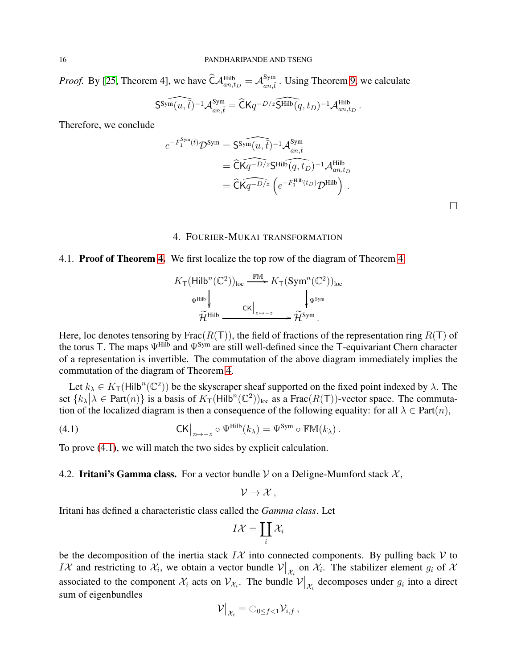*Proof.* By [\[25,](#page-24-4) Theorem 4], we have  $\widehat{\mathsf{C}} \mathcal{A}_{an,t_D}^{\mathsf{Hilb}} = \mathcal{A}_{an,\bar{t}}^{\mathsf{Sym}}$  $\lim_{an,\tilde{t}}$ . Using Theorem [9,](#page-11-2) we calculate

$$
\widehat{\mathsf{S}^{\mathrm{Sym}}(u,\tilde t)^{-1}\mathcal{A}^{\mathrm{Sym}}_{an,\tilde t}}=\widehat{\mathsf{C}}\mathsf{K} q^{-D/z}\widehat{\mathsf{S}^{\mathrm{Hilb}}(q,t_{D})^{-1}\mathcal{A}^{\mathrm{Hilb}}_{an,t_{D}}} \,.
$$

Therefore, we conclude

$$
e^{-F_1^{\text{Sym}}(\tilde{t})}\mathcal{D}^{\text{Sym}} = \widehat{\text{CSym}}(u,\tilde{t})^{-1}\mathcal{A}_{an,\tilde{t}}^{\text{Sym}} = \widehat{\text{CK}}\widehat{q^{-D/z}}\text{Stilb}(q,t_D)^{-1}\mathcal{A}_{an,t_D}^{\text{Hilb}} = \widehat{\text{CK}}\widehat{q^{-D/z}}\left(e^{-F_1^{\text{Hilb}}(t_D)}\mathcal{D}^{\text{Hilb}}\right).
$$

# 4. FOURIER-MUKAI TRANSFORMATION

### <span id="page-15-0"></span>4.1. Proof of Theorem [4.](#page-4-2) We first localize the top row of the diagram of Theorem [4:](#page-4-2)

$$
K_{\mathsf{T}}(\mathsf{Hilb}^n(\mathbb{C}^2))_{\mathrm{loc}} \xrightarrow{\mathbb{FM}} K_{\mathsf{T}}(\mathsf{Sym}^n(\mathbb{C}^2))_{\mathrm{loc}}
$$

$$
\Psi^{\mathrm{Hilb}} \downarrow \qquad \qquad \downarrow \qquad \qquad \downarrow \qquad \qquad \downarrow \qquad \downarrow \qquad \downarrow \qquad \downarrow \qquad \downarrow \qquad \downarrow \qquad \downarrow \qquad \downarrow \qquad \downarrow \qquad \downarrow \qquad \downarrow \qquad \downarrow \qquad \downarrow \qquad \downarrow \qquad \downarrow \qquad \downarrow \qquad \downarrow \qquad \downarrow \qquad \downarrow \qquad \downarrow \qquad \downarrow \qquad \downarrow \qquad \downarrow \qquad \downarrow \qquad \downarrow \qquad \downarrow \qquad \downarrow \qquad \downarrow \qquad \downarrow \qquad \downarrow \qquad \downarrow \qquad \downarrow \qquad \downarrow \qquad \downarrow \qquad \downarrow \qquad \downarrow \qquad \downarrow \qquad \downarrow \qquad \downarrow \qquad \downarrow \qquad \downarrow \qquad \downarrow \qquad \downarrow \qquad \downarrow \qquad \downarrow \qquad \downarrow \qquad \downarrow \qquad \downarrow \qquad \downarrow \qquad \downarrow \qquad \downarrow \qquad \downarrow \qquad \downarrow \qquad \downarrow \qquad \downarrow \qquad \downarrow \qquad \downarrow \qquad \downarrow \qquad \downarrow \qquad \downarrow \qquad \downarrow \qquad \downarrow \qquad \downarrow \qquad \downarrow \qquad \downarrow \qquad \downarrow \qquad \downarrow \qquad \downarrow \qquad \downarrow \qquad \downarrow \qquad \downarrow \qquad \downarrow \qquad \downarrow \qquad \downarrow \qquad \downarrow \qquad \downarrow \qquad \downarrow \qquad \downarrow \qquad \downarrow \qquad \downarrow \qquad \downarrow \qquad \downarrow \qquad \downarrow \qquad \downarrow \qquad \downarrow \qquad \downarrow \qquad \downarrow \qquad \downarrow \qquad \downarrow \qquad \downarrow \qquad \downarrow \qquad \downarrow \qquad \downarrow \qquad \downarrow \qquad \downarrow \qquad \downarrow \qquad \downarrow \qquad \downarrow \qquad \downarrow \qquad \downarrow \qquad \downarrow \qquad \downarrow \qquad \downarrow \qquad \downarrow \qquad \downarrow \qquad \downarrow \qquad \downarrow \qquad \downarrow
$$

Here, loc denotes tensoring by Frac $(R(T))$ , the field of fractions of the representation ring  $R(T)$  of the torus T. The maps  $\Psi^{\text{Hilb}}$  and  $\Psi^{\text{Sym}}$  are still well-defined since the T-equivariant Chern character of a representation is invertible. The commutation of the above diagram immediately implies the commutation of the diagram of Theorem [4.](#page-4-2)

Let  $k_{\lambda} \in K_{\mathsf{T}}(\mathsf{Hilb}^n(\mathbb{C}^2))$  be the skyscraper sheaf supported on the fixed point indexed by  $\lambda$ . The set  $\{k_{\lambda} | \lambda \in Part(n)\}$  is a basis of  $K_{\mathsf{T}}(Hilb^{n}(\mathbb{C}^2))_{\text{loc}}$  as a Frac $(R(\mathsf{T}))$ -vector space. The commutation of the localized diagram is then a consequence of the following equality: for all  $\lambda \in Part(n)$ ,

(4.1) 
$$
\operatorname{CK}\big|_{z\mapsto -z}\circ \Psi^{\text{Hilb}}(k_{\lambda})=\Psi^{\text{Sym}}\circ \mathbb{F}\mathbb{M}(k_{\lambda}).
$$

To prove [\(4.1\)](#page-15-1), we will match the two sides by explicit calculation.

### 4.2. Iritani's Gamma class. For a vector bundle V on a Deligne-Mumford stack  $\mathcal{X}$ ,

<span id="page-15-1"></span>
$$
\mathcal{V}\to\mathcal{X}\,,
$$

Iritani has defined a characteristic class called the *Gamma class*. Let

$$
I\mathcal{X}=\coprod_i \mathcal{X}_i
$$

be the decomposition of the inertia stack  $I\mathcal{X}$  into connected components. By pulling back  $\mathcal V$  to IX and restricting to  $\mathcal{X}_i$ , we obtain a vector bundle  $\mathcal{V}|_{\mathcal{X}_i}$  on  $\mathcal{X}_i$ . The stabilizer element  $g_i$  of  $\mathcal{X}_i$ associated to the component  $\mathcal{X}_i$  acts on  $\mathcal{V}_{\mathcal{X}_i}$ . The bundle  $\mathcal{V}|_{\mathcal{X}_i}$  decomposes under  $g_i$  into a direct sum of eigenbundles

$$
\mathcal{V}\big|_{\mathcal{X}_i} = \oplus_{0 \leq f < 1} \mathcal{V}_{i,f} \, ,
$$

 $\Box$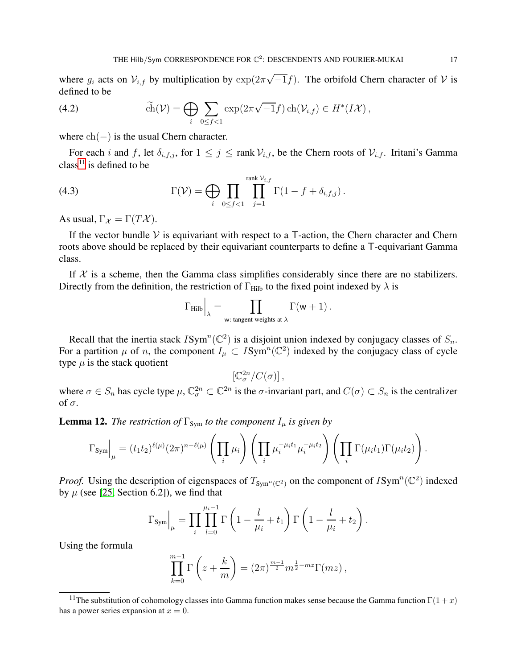where  $g_i$  acts on  $\mathcal{V}_{i,f}$  by multiplication by  $\exp(2\pi\sqrt{-1}f)$ . The orbifold Chern character of  $\mathcal V$  is defined to be

<span id="page-16-1"></span>(4.2) 
$$
\widetilde{\text{ch}}(\mathcal{V}) = \bigoplus_{i} \sum_{0 \le f < 1} \exp(2\pi\sqrt{-1}f) \operatorname{ch}(\mathcal{V}_{i,f}) \in H^*(I\mathcal{X}),
$$

where  $ch(-)$  is the usual Chern character.

For each i and f, let  $\delta_{i,f,j}$ , for  $1 \leq j \leq \text{rank } \mathcal{V}_{i,f}$ , be the Chern roots of  $\mathcal{V}_{i,f}$ . Iritani's Gamma class<sup>[11](#page-16-0)</sup> is defined to be

(4.3) 
$$
\Gamma(\mathcal{V}) = \bigoplus_i \prod_{0 \leq f < 1} \prod_{j=1}^{\text{rank } \mathcal{V}_{i,f}} \Gamma(1 - f + \delta_{i,f,j}).
$$

As usual,  $\Gamma_{\mathcal{X}} = \Gamma(T\mathcal{X})$ .

If the vector bundle  $\mathcal V$  is equivariant with respect to a T-action, the Chern character and Chern roots above should be replaced by their equivariant counterparts to define a T-equivariant Gamma class.

If  $X$  is a scheme, then the Gamma class simplifies considerably since there are no stabilizers. Directly from the definition, the restriction of  $\Gamma_{\text{Hilb}}$  to the fixed point indexed by  $\lambda$  is

$$
\Gamma_{\rm Hilb}\Big|_{\lambda}=\prod_{\mathsf{w}: \text{ tangent weights at }\lambda}\Gamma(\mathsf{w}+1)\,.
$$

Recall that the inertia stack  $ISym^n(\mathbb{C}^2)$  is a disjoint union indexed by conjugacy classes of  $S_n$ . For a partition  $\mu$  of n, the component  $I_{\mu} \subset I \text{Sym}^n(\mathbb{C}^2)$  indexed by the conjugacy class of cycle type  $\mu$  is the stack quotient

$$
\left[ \mathbb{C}^{2n}_{\sigma}/C(\sigma)\right],
$$

where  $\sigma \in S_n$  has cycle type  $\mu$ ,  $\mathbb{C}^{2n}_{\sigma} \subset \mathbb{C}^{2n}$  is the  $\sigma$ -invariant part, and  $C(\sigma) \subset S_n$  is the centralizer of σ.

<span id="page-16-2"></span>**Lemma 12.** *The restriction of*  $\Gamma_{\text{Sym}}$  *to the component*  $I_{\mu}$  *is given by* 

$$
\Gamma_{\text{Sym}}\Big|_{\mu} = (t_1t_2)^{\ell(\mu)} (2\pi)^{n-\ell(\mu)} \left(\prod_i \mu_i\right) \left(\prod_i \mu_i^{-\mu_i t_1} \mu_i^{-\mu_i t_2}\right) \left(\prod_i \Gamma(\mu_i t_1) \Gamma(\mu_i t_2)\right).
$$

*Proof.* Using the description of eigenspaces of  $T_{Sym^n(\mathbb{C}^2)}$  on the component of  $ISym^n(\mathbb{C}^2)$  indexed by  $\mu$  (see [\[25,](#page-24-4) Section 6.2]), we find that

$$
\Gamma_{\text{Sym}}\Big|_{\mu} = \prod_{i} \prod_{l=0}^{\mu_i - 1} \Gamma\left(1 - \frac{l}{\mu_i} + t_1\right) \Gamma\left(1 - \frac{l}{\mu_i} + t_2\right).
$$

Using the formula

$$
\prod_{k=0}^{m-1} \Gamma\left(z + \frac{k}{m}\right) = (2\pi)^{\frac{m-1}{2}} m^{\frac{1}{2} - mz} \Gamma(mz),
$$

<span id="page-16-0"></span><sup>&</sup>lt;sup>11</sup>The substitution of cohomology classes into Gamma function makes sense because the Gamma function  $\Gamma(1+x)$ has a power series expansion at  $x = 0$ .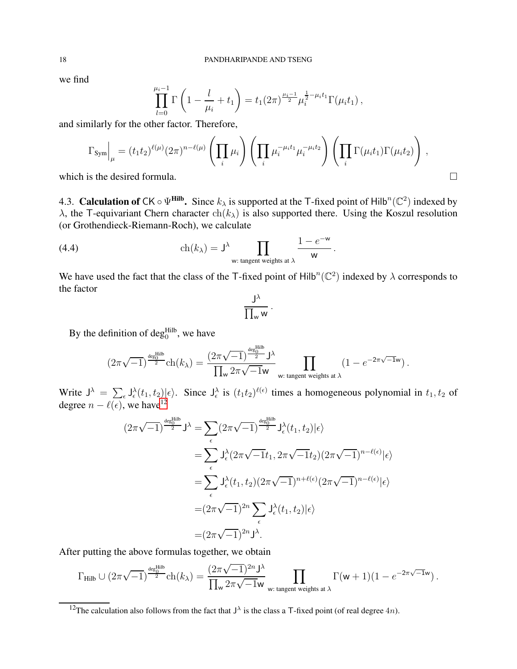we find

$$
\prod_{l=0}^{\mu_i-1} \Gamma\left(1 - \frac{l}{\mu_i} + t_1\right) = t_1 (2\pi)^{\frac{\mu_i-1}{2}} \mu_i^{\frac{1}{2} - \mu_i t_1} \Gamma(\mu_i t_1),
$$

and similarly for the other factor. Therefore,

$$
\Gamma_{\text{Sym}}\Big|_{\mu} = (t_1 t_2)^{\ell(\mu)} (2\pi)^{n-\ell(\mu)} \left(\prod_i \mu_i\right) \left(\prod_i \mu_i^{-\mu_i t_1} \mu_i^{-\mu_i t_2}\right) \left(\prod_i \Gamma(\mu_i t_1) \Gamma(\mu_i t_2)\right),
$$

.

which is the desired formula.  $\Box$ 

4.3. **Calculation of** CK  $\circ \Psi$ <sup>Hilb</sup>. Since  $k_{\lambda}$  is supported at the T-fixed point of Hilb<sup>n</sup>(C<sup>2</sup>) indexed by  $\lambda$ , the T-equivariant Chern character  $\text{ch}(k_\lambda)$  is also supported there. Using the Koszul resolution (or Grothendieck-Riemann-Roch), we calculate

(4.4) 
$$
\operatorname{ch}(k_{\lambda}) = J^{\lambda} \prod_{\mathsf{w}: \text{ tangent weights at } \lambda} \frac{1 - e^{-\mathsf{w}}}{\mathsf{w}}
$$

We have used the fact that the class of the T-fixed point of Hilb<sup>n</sup>( $\mathbb{C}^2$ ) indexed by  $\lambda$  corresponds to the factor

$$
\frac{J^\lambda}{\prod_w w}
$$

.

By the definition of  $deg_0^H$ , we have

$$
(2\pi\sqrt{-1})^{\frac{\deg^{\mathrm{Hilb}}_0}{2}}\mathrm{ch}(k_\lambda)=\frac{(2\pi\sqrt{-1})^{\frac{\deg^{\mathrm{Hilb}}_0}{2}}\mathrm{J}^\lambda}{\prod_\mathrm{w}\,2\pi\sqrt{-1}\mathrm{w}}\prod_{\mathrm{w: tangent weights at }\,\lambda}\left(1-e^{-2\pi\sqrt{-1}\mathrm{w}}\right).
$$

Write  $J^{\lambda} = \sum_{\epsilon} J_{\epsilon}^{\lambda}(t_1, t_2) | \epsilon \rangle$ . Since  $J_{\epsilon}^{\lambda}$  is  $(t_1 t_2)^{\ell(\epsilon)}$  times a homogeneous polynomial in  $t_1, t_2$  of degree  $n - \ell(\epsilon)$ , we have<sup>[12](#page-17-0)</sup>

$$
(2\pi\sqrt{-1})^{\frac{\deg_{0}^{\text{Hilb}}}{2}} J^{\lambda} = \sum_{\epsilon} (2\pi\sqrt{-1})^{\frac{\deg_{0}^{\text{Hilb}}}{2}} J_{\epsilon}^{\lambda}(t_{1}, t_{2})|\epsilon\rangle
$$
  

$$
= \sum_{\epsilon} J_{\epsilon}^{\lambda} (2\pi\sqrt{-1}t_{1}, 2\pi\sqrt{-1}t_{2}) (2\pi\sqrt{-1})^{n-\ell(\epsilon)}|\epsilon\rangle
$$
  

$$
= \sum_{\epsilon} J_{\epsilon}^{\lambda}(t_{1}, t_{2}) (2\pi\sqrt{-1})^{n+\ell(\epsilon)} (2\pi\sqrt{-1})^{n-\ell(\epsilon)}|\epsilon\rangle
$$
  

$$
= (2\pi\sqrt{-1})^{2n} \sum_{\epsilon} J_{\epsilon}^{\lambda}(t_{1}, t_{2})|\epsilon\rangle
$$
  

$$
= (2\pi\sqrt{-1})^{2n} J^{\lambda}.
$$

After putting the above formulas together, we obtain

$$
\Gamma_{\rm Hilb} \cup (2\pi\sqrt{-1})^{\frac{\deg_0^{\rm Hilb}}{2}} \mathrm{ch}(k_\lambda) = \frac{(2\pi\sqrt{-1})^{2n} \mathrm{J}^\lambda}{\prod_{\mathsf{w}} 2\pi\sqrt{-1} \mathrm{w}} \prod_{\mathsf{w}: \text{ tangent weights at }\lambda} \Gamma(\mathsf{w}+1)(1-e^{-2\pi\sqrt{-1}\mathsf{w}})\,.
$$

<span id="page-17-0"></span><sup>&</sup>lt;sup>12</sup>The calculation also follows from the fact that  $J^{\lambda}$  is the class a T-fixed point (of real degree 4*n*).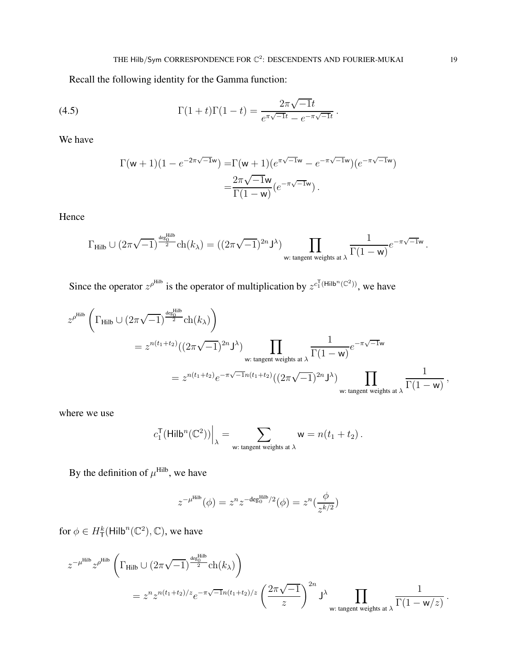Recall the following identity for the Gamma function:

(4.5) 
$$
\Gamma(1+t)\Gamma(1-t) = \frac{2\pi\sqrt{-1}t}{e^{\pi\sqrt{-1}t} - e^{-\pi\sqrt{-1}t}}.
$$

We have

<span id="page-18-0"></span>
$$
\Gamma(\mathsf{w}+1)(1 - e^{-2\pi\sqrt{-1}\mathsf{w}}) = \Gamma(\mathsf{w}+1)(e^{\pi\sqrt{-1}\mathsf{w}} - e^{-\pi\sqrt{-1}\mathsf{w}})(e^{-\pi\sqrt{-1}\mathsf{w}})
$$

$$
= \frac{2\pi\sqrt{-1}\mathsf{w}}{\Gamma(1-\mathsf{w})}(e^{-\pi\sqrt{-1}\mathsf{w}}).
$$

Hence

$$
\Gamma_{\rm {Hilb}}\cup (2\pi\sqrt{-1})^{\frac{{\rm deg}^{\rm {Hilb}}_0}{2}}\mathrm{ch}(k_{\lambda})=((2\pi\sqrt{-1})^{2n}\mathsf{J}^{\lambda})\prod_{\mathsf{w}: \text{ tangent weights at }\lambda}\frac{1}{\Gamma(1-\mathsf{w})}e^{-\pi\sqrt{-1}\mathsf{w}}\,.
$$

Since the operator  $z^{\rho^{Hilb}}$  is the operator of multiplication by  $z^{c_1^T(Hilb^n(\mathbb{C}^2))}$ , we have

$$
z^{\rho^{\text{Hilb}}}\left(\Gamma_{\text{Hilb}}\cup(2\pi\sqrt{-1})^{\frac{\text{deg}^{\text{Hilb}}_{0}}{2}}\text{ch}(k_{\lambda})\right)
$$
  
=  $z^{n(t_{1}+t_{2})}((2\pi\sqrt{-1})^{2n}J^{\lambda})\prod_{\text{w: tangent weights at }\lambda}\frac{1}{\Gamma(1-\text{w})}e^{-\pi\sqrt{-1}\text{w}}$   
=  $z^{n(t_{1}+t_{2})}e^{-\pi\sqrt{-1}n(t_{1}+t_{2})}((2\pi\sqrt{-1})^{2n}J^{\lambda})\prod_{\text{w: tangent weights at }\lambda}\frac{1}{\Gamma(1-\text{w})},$ 

where we use

$$
c_1^{\mathsf{T}}(\mathsf{Hilb}^n(\mathbb{C}^2))\Big|_{\lambda} = \sum_{\mathsf{w}: \text{ tangent weights at }\lambda} \mathsf{w} = n(t_1 + t_2) \, .
$$

By the definition of  $\mu^{\text{Hilb}}$ , we have

$$
z^{-\mu^{\rm Hilb}}(\phi) = z^n z^{-\text{deg}^{\rm Hilb}_0/2}(\phi) = z^n(\frac{\phi}{z^{k/2}})
$$

for  $\phi \in H^k_\mathsf{T}(\mathsf{Hilb}^n(\mathbb{C}^2), \mathbb{C})$ , we have

$$
\begin{split} z^{-\mu^{\rm Hilb}} z^{\rho^{\rm Hilb}} & \left(\Gamma_{\rm Hilb}\cup (2\pi\sqrt{-1})^{\frac{\deg_0^{\rm Hilb}}{2}}{\rm ch}(k_{\lambda})\right) \\ & = z^n z^{n(t_1+t_2)/z} e^{-\pi\sqrt{-1}n(t_1+t_2)/z} \left(\frac{2\pi\sqrt{-1}}{z}\right)^{2n} {\bf J}^{\lambda} \prod_{\rm w: \text{ tangent weights at }\lambda} \frac{1}{\Gamma(1-{\bf w}/z)} \end{split}
$$

.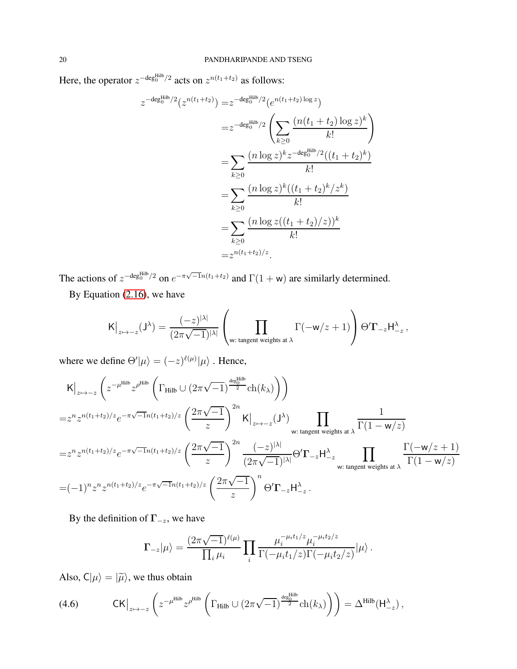Here, the operator  $z^{-\text{deg}_0^{\text{Hilb}}/2}$  acts on  $z^{n(t_1+t_2)}$  as follows:

$$
z^{-\deg_0^{\text{Hilb}}/2}(z^{n(t_1+t_2)}) = z^{-\deg_0^{\text{Hilb}}/2}(e^{n(t_1+t_2)\log z})
$$
  
\n
$$
= z^{-\deg_0^{\text{Hilb}}/2}\left(\sum_{k\geq 0} \frac{(n(t_1+t_2)\log z)^k}{k!}\right)
$$
  
\n
$$
= \sum_{k\geq 0} \frac{(n\log z)^k z^{-\deg_0^{\text{Hilb}}/2}((t_1+t_2)^k)}{k!}
$$
  
\n
$$
= \sum_{k\geq 0} \frac{(n\log z)^k((t_1+t_2)^k/z^k)}{k!}
$$
  
\n
$$
= \sum_{k\geq 0} \frac{(n\log z((t_1+t_2)/z))^k}{k!}
$$
  
\n
$$
= z^{n(t_1+t_2)/z}.
$$

The actions of  $z^{-\deg_0^{\text{Hilb}}/2}$  on  $e^{-\pi\sqrt{-1}n(t_1+t_2)}$  and  $\Gamma(1+w)$  are similarly determined.

By Equation [\(2.16\)](#page-12-1), we have

$$
\mathsf{K}\big|_{z\mapsto -z}(\mathsf{J}^\lambda) = \frac{(-z)^{|\lambda|}}{(2\pi\sqrt{-1})^{|\lambda|}}\left(\prod_{\mathsf{w}: \text{ tangent weights at }\lambda} \Gamma(-\mathsf{w}/z+1)\right)\Theta'\mathbf{\Gamma}_{-z}\mathsf{H}^\lambda_{-z}\,,
$$

where we define  $\Theta'|\mu\rangle = (-z)^{\ell(\mu)}|\mu\rangle$ . Hence,

$$
K\Big|_{z \mapsto -z} \left( z^{-\mu^{\text{Hilb}}} z^{\rho^{\text{Hilb}}} \left( \Gamma_{\text{Hilb}} \cup (2\pi \sqrt{-1}) \frac{\det_{2}^{\text{Hilb}}}{2} \text{ch}(k_{\lambda}) \right) \right)
$$
  
\n
$$
= z^{n} z^{n(t_{1}+t_{2})/z} e^{-\pi \sqrt{-1}n(t_{1}+t_{2})/z} \left( \frac{2\pi \sqrt{-1}}{z} \right)^{2n} K\Big|_{z \mapsto -z} (\mathsf{J}^{\lambda}) \prod_{\text{w: tangent weights at } \lambda} \frac{1}{\Gamma(1 - \mathsf{w}/z)}
$$
  
\n
$$
= z^{n} z^{n(t_{1}+t_{2})/z} e^{-\pi \sqrt{-1}n(t_{1}+t_{2})/z} \left( \frac{2\pi \sqrt{-1}}{z} \right)^{2n} \frac{(-z)^{|\lambda|}}{(2\pi \sqrt{-1})^{|\lambda|}} \Theta' \Gamma_{-z} H^{\lambda}_{-z} \prod_{\text{w: tangent weights at } \lambda} \frac{\Gamma(-\mathsf{w}/z + 1)}{\Gamma(1 - \mathsf{w}/z)}
$$
  
\n
$$
= (-1)^{n} z^{n} z^{n(t_{1}+t_{2})/z} e^{-\pi \sqrt{-1}n(t_{1}+t_{2})/z} \left( \frac{2\pi \sqrt{-1}}{z} \right)^{n} \Theta' \Gamma_{-z} H^{\lambda}_{-z}.
$$

By the definition of  $\Gamma_{-z}$ , we have

$$
\Gamma_{-z}|\mu\rangle = \frac{(2\pi\sqrt{-1})^{\ell(\mu)}}{\prod_i \mu_i} \prod_i \frac{\mu_i^{-\mu_i t_1/z} \mu_i^{-\mu_i t_2/z}}{\Gamma(-\mu_i t_1/z)\Gamma(-\mu_i t_2/z)} |\mu\rangle.
$$

Also,  $C|\mu\rangle = |\tilde{\mu}\rangle$ , we thus obtain

(4.6) 
$$
\mathrm{CK}\big|_{z\mapsto-z}\left(z^{-\mu^{\mathrm{Hilb}}}z^{\rho^{\mathrm{Hilb}}}\left(\Gamma_{\mathrm{Hilb}}\cup(2\pi\sqrt{-1})^{\frac{\deg_0^{\mathrm{Hilb}}}{2}}\mathrm{ch}(k_{\lambda})\right)\right)=\Delta^{\mathrm{Hilb}}(\mathrm{H}^{\lambda}_{-z})\,,
$$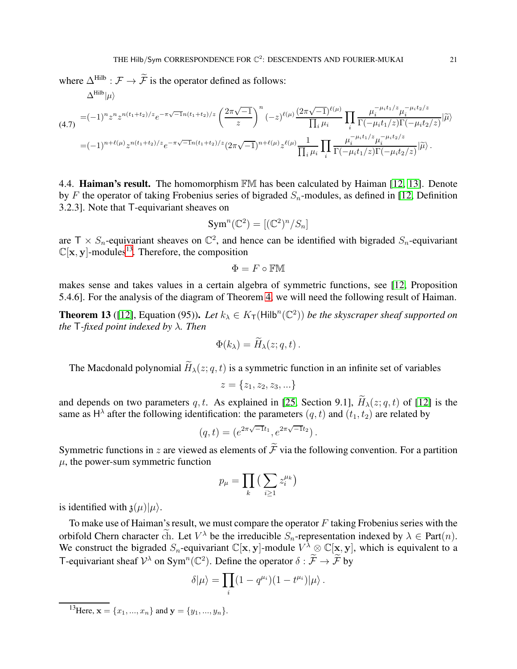where  $\Delta^{\text{Hilb}}$  :  $\mathcal{F} \rightarrow \widetilde{\mathcal{F}}$  is the operator defined as follows:

<span id="page-20-1"></span>
$$
\Delta^{\text{Hilb}}|\mu\rangle
$$
\n
$$
(4.7) = (-1)^n z^n z^{n(t_1+t_2)/z} e^{-\pi \sqrt{-1}n(t_1+t_2)/z} \left(\frac{2\pi \sqrt{-1}}{z}\right)^n (-z)^{\ell(\mu)} \frac{(2\pi \sqrt{-1})^{\ell(\mu)}}{\prod_i \mu_i} \prod_i \frac{\mu_i^{-\mu_i t_1/z} \mu_i^{-\mu_i t_2/z}}{\Gamma(-\mu_i t_1/z) \Gamma(-\mu_i t_2/z)} |\tilde{\mu}\rangle
$$
\n
$$
=(-1)^{n+\ell(\mu)} z^{n(t_1+t_2)/z} e^{-\pi \sqrt{-1}n(t_1+t_2)/z} (2\pi \sqrt{-1})^{n+\ell(\mu)} z^{\ell(\mu)} \frac{1}{\prod_i \mu_i} \prod_i \frac{\mu_i^{-\mu_i t_1/z} \mu_i^{-\mu_i t_2/z}}{\Gamma(-\mu_i t_1/z) \Gamma(-\mu_i t_2/z)} |\tilde{\mu}\rangle.
$$

4.4. **Haiman's result.** The homomorphism FM has been calculated by Haiman [\[12,](#page-24-6) [13\]](#page-24-7). Denote by F the operator of taking Frobenius series of bigraded  $S_n$ -modules, as defined in [\[12,](#page-24-6) Definition 3.2.3]. Note that T-equivariant sheaves on

$$
\operatorname{Sym}^n(\mathbb{C}^2) = [(\mathbb{C}^2)^n/S_n]
$$

are  $T \times S_n$ -equivariant sheaves on  $\mathbb{C}^2$ , and hence can be identified with bigraded  $S_n$ -equivariant  $\mathbb{C}[\mathbf{x}, \mathbf{y}]$ -modules<sup>[13](#page-20-0)</sup>. Therefore, the composition

$$
\Phi=F\circ \mathbb{FM}
$$

makes sense and takes values in a certain algebra of symmetric functions, see [\[12,](#page-24-6) Proposition 5.4.6]. For the analysis of the diagram of Theorem [4,](#page-4-2) we will need the following result of Haiman.

**Theorem 13** ([\[12\]](#page-24-6), Equation (95)). Let  $k_{\lambda} \in K_{\mathsf{T}}(\mathsf{Hilb}^n(\mathbb{C}^2))$  be the skyscraper sheaf supported on *the* T*-fixed point indexed by* λ*. Then*

$$
\Phi(k_{\lambda}) = H_{\lambda}(z;q,t) .
$$

The Macdonald polynomial  $\widetilde{H}_{\lambda}(z; q, t)$  is a symmetric function in an infinite set of variables

$$
z = \{z_1, z_2, z_3, \ldots\}
$$

and depends on two parameters q, t. As explained in [\[25,](#page-24-4) Section 9.1],  $H_{\lambda}(z; q, t)$  of [\[12\]](#page-24-6) is the same as  $H^{\lambda}$  after the following identification: the parameters  $(q, t)$  and  $(t_1, t_2)$  are related by

$$
(q,t) = (e^{2\pi\sqrt{-1}t_1}, e^{2\pi\sqrt{-1}t_2}).
$$

Symmetric functions in z are viewed as elements of  $\tilde{\mathcal{F}}$  via the following convention. For a partition  $\mu$ , the power-sum symmetric function

$$
p_{\mu} = \prod_k \big( \sum_{i \geq 1} z_i^{\mu_k} \big)
$$

is identified with  $\mathfrak{z}(\mu)|\mu\rangle$ .

To make use of Haiman's result, we must compare the operator  $F$  taking Frobenius series with the orbifold Chern character ch. Let  $V^{\lambda}$  be the irreducible  $S_n$ -representation indexed by  $\lambda \in Part(n)$ . We construct the bigraded  $S_n$ -equivariant  $\mathbb{C}[\mathbf{x}, \mathbf{y}]$ -module  $V^{\lambda} \otimes \mathbb{C}[\mathbf{x}, \mathbf{y}]$ , which is equivalent to a T-equivariant sheaf  $\mathcal{V}^{\lambda}$  on Sym<sup>n</sup>( $\mathbb{C}^2$ ). Define the operator  $\delta : \widetilde{\mathcal{F}} \to \widetilde{\mathcal{F}}$  by

$$
\delta|\mu\rangle = \prod_i (1 - q^{\mu_i})(1 - t^{\mu_i})|\mu\rangle.
$$

<span id="page-20-0"></span><sup>&</sup>lt;sup>13</sup>Here,  $\mathbf{x} = \{x_1, ..., x_n\}$  and  $\mathbf{y} = \{y_1, ..., y_n\}$ .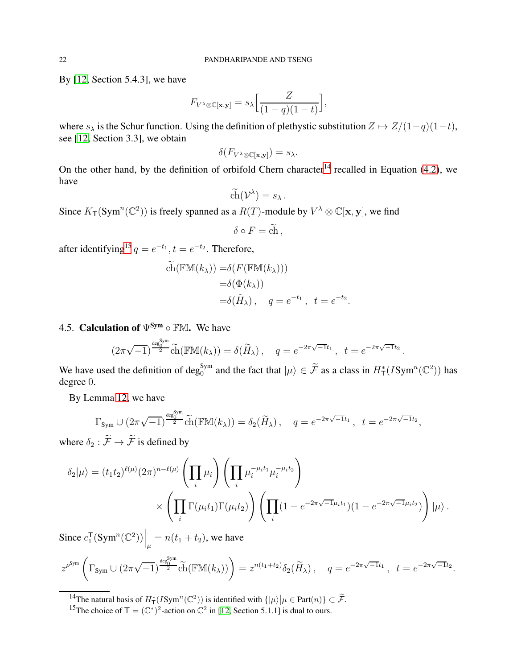By [\[12,](#page-24-6) Section 5.4.3], we have

$$
F_{V^{\lambda} \otimes \mathbb{C}[\mathbf{x}, \mathbf{y}]} = s_{\lambda} \left[ \frac{Z}{(1-q)(1-t)} \right],
$$

where  $s_{\lambda}$  is the Schur function. Using the definition of plethystic substitution  $Z \mapsto Z/(1-q)(1-t)$ , see [\[12,](#page-24-6) Section 3.3], we obtain

$$
\delta(F_{V^{\lambda}\otimes\mathbb{C}[\mathbf{x},\mathbf{y}]})=s_{\lambda}.
$$

On the other hand, by the definition of orbifold Chern character<sup>[14](#page-21-0)</sup> recalled in Equation [\(4.2\)](#page-16-1), we have

$$
\widetilde{\text{ch}}(\mathcal{V}^\lambda)=s_\lambda.
$$

Since  $K_T(\text{Sym}^n(\mathbb{C}^2))$  is freely spanned as a  $R(T)$ -module by  $V^{\lambda} \otimes \mathbb{C}[\mathbf{x}, \mathbf{y}]$ , we find

$$
\delta \circ F = \tilde{\mathrm{ch}} \,,
$$

after identifying<sup>[15](#page-21-1)</sup>  $q = e^{-t_1}$ ,  $t = e^{-t_2}$ . Therefore,

$$
\widetilde{ch}(\mathbb{F}M(k_{\lambda})) = \delta(F(\mathbb{F}M(k_{\lambda})))
$$

$$
= \delta(\Phi(k_{\lambda}))
$$

$$
= \delta(\widetilde{H}_{\lambda}), \quad q = e^{-t_1}, \quad t = e^{-t_2}
$$

.

# 4.5. Calculation of  $\Psi^{\text{Sym}} \circ \mathbb{F}M$ . We have

$$
(2\pi\sqrt{-1})^{\frac{\deg_0^{\text{Sym}}}{2}} \widetilde{\text{ch}}(\mathbb{F}\mathbb{M}(k_\lambda)) = \delta(\widetilde{H}_\lambda), \quad q = e^{-2\pi\sqrt{-1}t_1}, \quad t = e^{-2\pi\sqrt{-1}t_2}.
$$

We have used the definition of deg<sub>0</sub><sup>Sym</sup> and the fact that  $|\mu\rangle \in \tilde{\mathcal{F}}$  as a class in  $H^*_{\mathsf{T}}(I\text{Sym}^n(\mathbb{C}^2))$  has degree 0.

By Lemma [12,](#page-16-2) we have

$$
\Gamma_{\text{Sym}} \cup (2\pi\sqrt{-1})^{\frac{\deg_0^{\text{sym}}}{2}} \widetilde{\text{ch}}(\mathbb{F}\mathbb{M}(k_\lambda)) = \delta_2(\widetilde{H}_\lambda), \quad q = e^{-2\pi\sqrt{-1}t_1}, \quad t = e^{-2\pi\sqrt{-1}t_2},
$$

where  $\delta_2 : \widetilde{\mathcal{F}} \to \widetilde{\mathcal{F}}$  is defined by

$$
\delta_2|\mu\rangle = (t_1t_2)^{\ell(\mu)} (2\pi)^{n-\ell(\mu)} \left(\prod_i \mu_i\right) \left(\prod_i \mu_i^{-\mu_i t_1} \mu_i^{-\mu_i t_2}\right) \times \left(\prod_i \Gamma(\mu_i t_1) \Gamma(\mu_i t_2)\right) \left(\prod_i (1 - e^{-2\pi\sqrt{-1}\mu_i t_1})(1 - e^{-2\pi\sqrt{-1}\mu_i t_2})\right)|\mu\rangle.
$$

Since  $c_1^{\mathsf{T}}$  $\left.\frac{1}{1}(\text{Sym}^n(\mathbb{C}^2))\right|_{\mu} = n(t_1+t_2)$ , we have

$$
z^{\rho^{\text{Sym}}}\left(\Gamma_{\text{Sym}}\cup(2\pi\sqrt{-1})^{\frac{\deg_0^{\text{Sym}}}{2}}\widetilde{\text{ch}}(\mathbb{F}\mathbb{M}(k_{\lambda}))\right)=z^{n(t_1+t_2)}\delta_2(\widetilde{H}_{\lambda}), \quad q=e^{-2\pi\sqrt{-1}t_1}, \ t=e^{-2\pi\sqrt{-1}t_2}.
$$

<sup>&</sup>lt;sup>14</sup>The natural basis of  $H^*_{\mathsf{T}}(I\text{Sym}^n(\mathbb{C}^2))$  is identified with  $\{|\mu\rangle \big| \mu \in \text{Part}(n)\} \subset \widetilde{\mathcal{F}}$ .

<span id="page-21-1"></span><span id="page-21-0"></span><sup>&</sup>lt;sup>15</sup>The choice of  $\mathsf{T} = (\mathbb{C}^*)^2$ -action on  $\mathbb{C}^2$  in [\[12,](#page-24-6) Section 5.1.1] is dual to ours.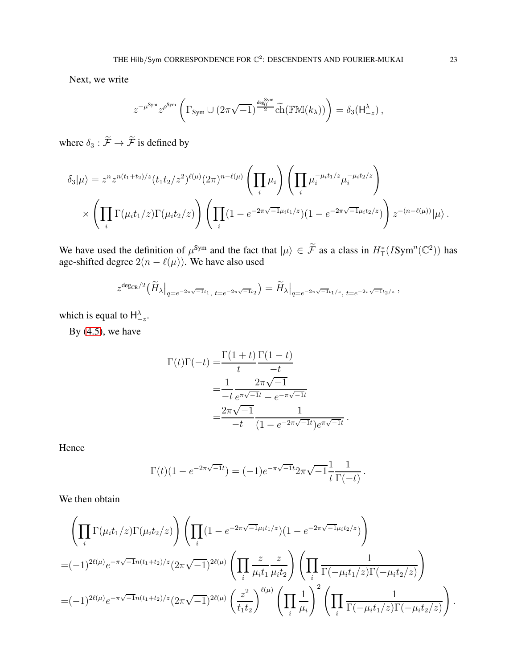Next, we write

$$
z^{-\mu^{\text{Sym}}} z^{\rho^{\text{Sym}}} \left( \Gamma_{\text{Sym}} \cup (2\pi \sqrt{-1})^{\frac{\text{deg}_{0}^{\text{Sym}}}{2}} \widetilde{\text{ch}}(\mathbb{F} \mathbb{M}(k_{\lambda})) \right) = \delta_{3}(\mathsf{H}_{-z}^{\lambda}),
$$

where  $\delta_3 : \widetilde{\mathcal{F}} \rightarrow \widetilde{\mathcal{F}}$  is defined by

$$
\delta_3|\mu\rangle = z^n z^{n(t_1+t_2)/z} (t_1t_2/z^2)^{\ell(\mu)} (2\pi)^{n-\ell(\mu)} \left(\prod_i \mu_i\right) \left(\prod_i \mu_i^{-\mu_i t_1/z} \mu_i^{-\mu_i t_2/z}\right) \times \left(\prod_i \Gamma(\mu_i t_1/z) \Gamma(\mu_i t_2/z)\right) \left(\prod_i (1-e^{-2\pi\sqrt{-1}\mu_i t_1/z})(1-e^{-2\pi\sqrt{-1}\mu_i t_2/z})\right) z^{-(n-\ell(\mu))}|\mu\rangle.
$$

We have used the definition of  $\mu^{\text{Sym}}$  and the fact that  $|\mu\rangle \in \tilde{\mathcal{F}}$  as a class in  $H^*_{\mathsf{T}}(I\text{Sym}^n(\mathbb{C}^2))$  has age-shifted degree  $2(n - \ell(\mu))$ . We have also used

$$
z^{\deg_{\mathrm{CR}}/2}\big(\widetilde{H}_{\lambda}\big|_{q=e^{-2\pi\sqrt{-1}t_1},\;t=e^{-2\pi\sqrt{-1}t_2}}\big)=\widetilde{H}_{\lambda}\big|_{q=e^{-2\pi\sqrt{-1}t_1/z},\;t=e^{-2\pi\sqrt{-1}t_2/z}}\;,
$$

which is equal to  $H^{\lambda}_{-z}$ .

By  $(4.5)$ , we have

$$
\Gamma(t)\Gamma(-t) = \frac{\Gamma(1+t)}{t} \frac{\Gamma(1-t)}{-t}
$$

$$
= \frac{1}{-t} \frac{2\pi\sqrt{-1}}{e^{\pi\sqrt{-1}t} - e^{-\pi\sqrt{-1}t}}
$$

$$
= \frac{2\pi\sqrt{-1}}{-t} \frac{1}{(1 - e^{-2\pi\sqrt{-1}t})e^{\pi\sqrt{-1}t}}.
$$

Hence

$$
\Gamma(t)(1 - e^{-2\pi\sqrt{-1}t}) = (-1)e^{-\pi\sqrt{-1}t}2\pi\sqrt{-1}\frac{1}{t}\frac{1}{\Gamma(-t)}.
$$

We then obtain

$$
\left(\prod_{i} \Gamma(\mu_{i}t_{1}/z)\Gamma(\mu_{i}t_{2}/z)\right)\left(\prod_{i} (1-e^{-2\pi\sqrt{-1}\mu_{i}t_{1}/z})(1-e^{-2\pi\sqrt{-1}\mu_{i}t_{2}/z})\right)
$$
  
= $(-1)^{2\ell(\mu)}e^{-\pi\sqrt{-1}n(t_{1}+t_{2})/z}(2\pi\sqrt{-1})^{2\ell(\mu)}\left(\prod_{i} \frac{z}{\mu_{i}t_{1}} \frac{z}{\mu_{i}t_{2}}\right)\left(\prod_{i} \frac{1}{\Gamma(-\mu_{i}t_{1}/z)\Gamma(-\mu_{i}t_{2}/z)}\right)$   
= $(-1)^{2\ell(\mu)}e^{-\pi\sqrt{-1}n(t_{1}+t_{2})/z}(2\pi\sqrt{-1})^{2\ell(\mu)}\left(\frac{z^{2}}{t_{1}t_{2}}\right)^{\ell(\mu)}\left(\prod_{i} \frac{1}{\mu_{i}}\right)^{2}\left(\prod_{i} \frac{1}{\Gamma(-\mu_{i}t_{1}/z)\Gamma(-\mu_{i}t_{2}/z)}\right).$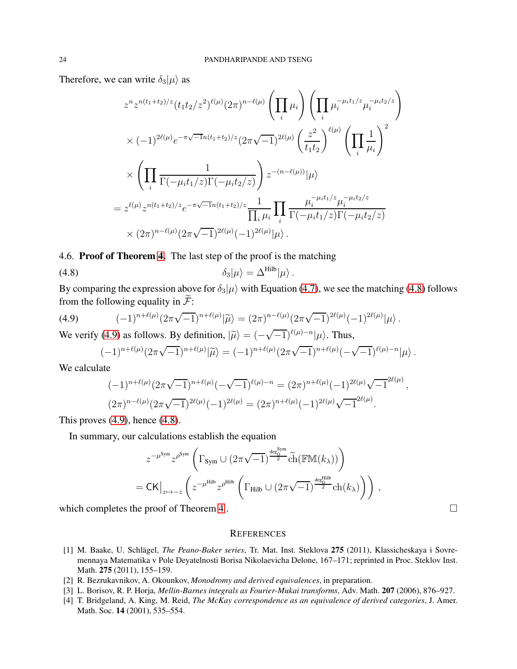Therefore, we can write  $\delta_3|\mu\rangle$  as

$$
z^{n} z^{n(t_{1}+t_{2})/z} (t_{1}t_{2}/z^{2})^{\ell(\mu)} (2\pi)^{n-\ell(\mu)} \left(\prod_{i} \mu_{i}\right) \left(\prod_{i} \mu_{i}^{-\mu_{i}t_{1}/z} \mu_{i}^{-\mu_{i}t_{2}/z}\right)
$$
  

$$
\times (-1)^{2\ell(\mu)} e^{-\pi\sqrt{-1}n(t_{1}+t_{2})/z} (2\pi\sqrt{-1})^{2\ell(\mu)} \left(\frac{z^{2}}{t_{1}t_{2}}\right)^{\ell(\mu)} \left(\prod_{i} \frac{1}{\mu_{i}}\right)^{2}
$$
  

$$
\times \left(\prod_{i} \frac{1}{\Gamma(-\mu_{i}t_{1}/z)\Gamma(-\mu_{i}t_{2}/z)}\right) z^{-(n-\ell(\mu))} |\mu\rangle
$$
  

$$
= z^{\ell(\mu)} z^{n(t_{1}+t_{2})/z} e^{-\pi\sqrt{-1}n(t_{1}+t_{2})/z} \frac{1}{\prod_{i} \mu_{i}} \prod_{i} \frac{\mu_{i}^{-\mu_{i}t_{1}/z} \mu_{i}^{-\mu_{i}t_{2}/z}}{\Gamma(-\mu_{i}t_{1}/z)\Gamma(-\mu_{i}t_{2}/z)}
$$
  

$$
\times (2\pi)^{n-\ell(\mu)} (2\pi\sqrt{-1})^{2\ell(\mu)} (-1)^{2\ell(\mu)} |\mu\rangle.
$$

4.6. Proof of Theorem [4.](#page-4-2) The last step of the proof is the matching

(4.8) 
$$
\delta_3|\mu\rangle = \Delta^{\rm Hilb}|\mu\rangle.
$$

By comparing the expression above for  $\delta_3|\mu\rangle$  with Equation [\(4.7\)](#page-20-1), we see the matching [\(4.8\)](#page-23-4) follows from the following equality in  $\widetilde{\mathcal{F}}$ :

(4.9) 
$$
(-1)^{n+\ell(\mu)}(2\pi\sqrt{-1})^{n+\ell(\mu)}|\widetilde{\mu}\rangle = (2\pi)^{n-\ell(\mu)}(2\pi\sqrt{-1})^{2\ell(\mu)}(-1)^{2\ell(\mu)}|\mu\rangle.
$$

We verify [\(4.9\)](#page-23-5) as follows. By definition,  $|\tilde{\mu}\rangle = (-\sqrt{-1})^{\ell(\mu)-n}|\mu\rangle$ . Thus,

<span id="page-23-5"></span><span id="page-23-4"></span>
$$
(-1)^{n+\ell(\mu)} (2\pi\sqrt{-1})^{n+\ell(\mu)} |\widetilde{\mu}\rangle = (-1)^{n+\ell(\mu)} (2\pi\sqrt{-1})^{n+\ell(\mu)} (-\sqrt{-1})^{\ell(\mu)-n} |\mu\rangle.
$$

We calculate

$$
(-1)^{n+\ell(\mu)} (2\pi\sqrt{-1})^{n+\ell(\mu)} (-\sqrt{-1})^{\ell(\mu)-n} = (2\pi)^{n+\ell(\mu)} (-1)^{2\ell(\mu)} \sqrt{-1}^{2\ell(\mu)},
$$
  

$$
(2\pi)^{n-\ell(\mu)} (2\pi\sqrt{-1})^{2\ell(\mu)} (-1)^{2\ell(\mu)} = (2\pi)^{n+\ell(\mu)} (-1)^{2\ell(\mu)} \sqrt{-1}^{2\ell(\mu)}.
$$

This proves  $(4.9)$ , hence  $(4.8)$ .

In summary, our calculations establish the equation

$$
z^{-\mu^{\text{Sym}}} z^{\rho^{\text{Sym}}} \left( \Gamma_{\text{Sym}} \cup (2\pi \sqrt{-1})^{\frac{\text{deg}_{0}^{\text{Sym}}}{2}} \widetilde{\text{ch}}(\mathbb{F} \mathbb{M}(k_{\lambda})) \right)
$$
  
=  $\mathsf{CK}|_{z \mapsto -z} \left( z^{-\mu^{\text{Hilb}}} z^{\rho^{\text{Hilb}}} \left( \Gamma_{\text{Hilb}} \cup (2\pi \sqrt{-1})^{\frac{\text{deg}_{0}^{\text{Hilb}}}{2}} \text{ch}(k_{\lambda}) \right) \right),$ 

which completes the proof of Theorem [4](#page-4-2).  $\Box$ 

#### **REFERENCES**

- <span id="page-23-3"></span>[1] M. Baake, U. Schlägel, *The Peano-Baker series*, Tr. Mat. Inst. Steklova 275 (2011), Klassicheskaya i Sovremennaya Matematika v Pole Deyatelnosti Borisa Nikolaevicha Delone, 167–171; reprinted in Proc. Steklov Inst. Math. 275 (2011), 155–159.
- <span id="page-23-2"></span><span id="page-23-1"></span>[2] R. Bezrukavnikov, A. Okounkov, *Monodromy and derived equivalences*, in preparation.
- <span id="page-23-0"></span>[3] L. Borisov, R. P. Horja, *Mellin-Barnes integrals as Fourier-Mukai transforms*, Adv. Math. 207 (2006), 876–927.
- [4] T. Bridgeland, A. King, M. Reid, *The McKay correspondence as an equivalence of derived categories*, J. Amer. Math. Soc. 14 (2001), 535–554.